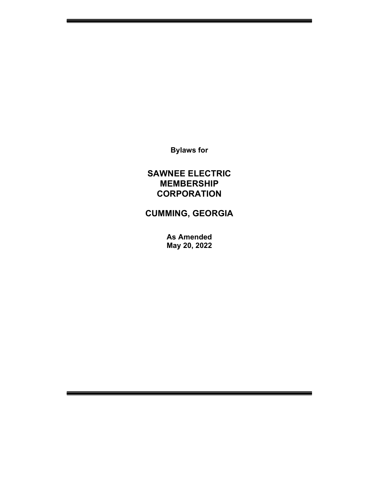Bylaws for

## SAWNEE ELECTRIC MEMBERSHIP **CORPORATION**

# CUMMING, GEORGIA

As Amended May 20, 2022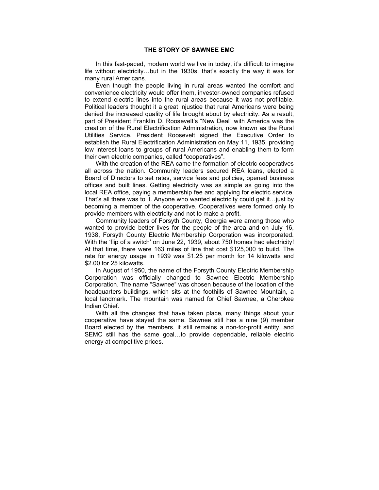In this fast-paced, modern world we live in today, it's difficult to imagine life without electricity…but in the 1930s, that's exactly the way it was for many rural Americans.

 Even though the people living in rural areas wanted the comfort and convenience electricity would offer them, investor-owned companies refused to extend electric lines into the rural areas because it was not profitable. Political leaders thought it a great injustice that rural Americans were being denied the increased quality of life brought about by electricity. As a result, part of President Franklin D. Roosevelt's "New Deal" with America was the creation of the Rural Electrification Administration, now known as the Rural Utilities Service. President Roosevelt signed the Executive Order to establish the Rural Electrification Administration on May 11, 1935, providing low interest loans to groups of rural Americans and enabling them to form their own electric companies, called "cooperatives".

 With the creation of the REA came the formation of electric cooperatives all across the nation. Community leaders secured REA loans, elected a Board of Directors to set rates, service fees and policies, opened business offices and built lines. Getting electricity was as simple as going into the local REA office, paying a membership fee and applying for electric service. That's all there was to it. Anyone who wanted electricity could get it…just by becoming a member of the cooperative. Cooperatives were formed only to provide members with electricity and not to make a profit.

 Community leaders of Forsyth County, Georgia were among those who wanted to provide better lives for the people of the area and on July 16, 1938, Forsyth County Electric Membership Corporation was incorporated. With the 'flip of a switch' on June 22, 1939, about 750 homes had electricity! At that time, there were 163 miles of line that cost \$125,000 to build. The rate for energy usage in 1939 was \$1.25 per month for 14 kilowatts and \$2.00 for 25 kilowatts.

 In August of 1950, the name of the Forsyth County Electric Membership Corporation was officially changed to Sawnee Electric Membership Corporation. The name "Sawnee" was chosen because of the location of the headquarters buildings, which sits at the foothills of Sawnee Mountain, a local landmark. The mountain was named for Chief Sawnee, a Cherokee Indian Chief.

 With all the changes that have taken place, many things about your cooperative have stayed the same. Sawnee still has a nine (9) member Board elected by the members, it still remains a non-for-profit entity, and SEMC still has the same goal…to provide dependable, reliable electric energy at competitive prices.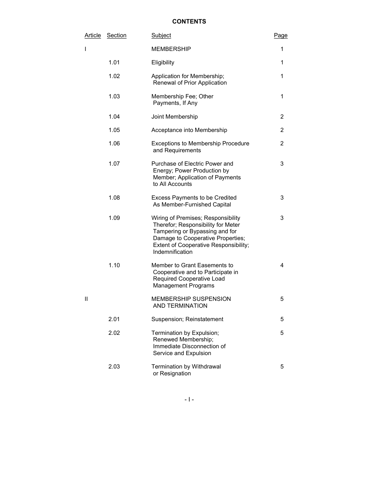## **CONTENTS**

| <u>Article</u> | <b>Section</b> | Subject                                                                                                                                                                                                     | Page |
|----------------|----------------|-------------------------------------------------------------------------------------------------------------------------------------------------------------------------------------------------------------|------|
| I              |                | MEMBERSHIP                                                                                                                                                                                                  | 1    |
|                | 1.01           | Eligibility                                                                                                                                                                                                 | 1    |
|                | 1.02           | Application for Membership;<br>Renewal of Prior Application                                                                                                                                                 | 1    |
|                | 1.03           | Membership Fee; Other<br>Payments, If Any                                                                                                                                                                   | 1    |
|                | 1.04           | Joint Membership                                                                                                                                                                                            | 2    |
|                | 1.05           | Acceptance into Membership                                                                                                                                                                                  | 2    |
|                | 1.06           | <b>Exceptions to Membership Procedure</b><br>and Requirements                                                                                                                                               | 2    |
|                | 1.07           | Purchase of Electric Power and<br>Energy; Power Production by<br>Member; Application of Payments<br>to All Accounts                                                                                         | 3    |
|                | 1.08           | <b>Excess Payments to be Credited</b><br>As Member-Furnished Capital                                                                                                                                        | 3    |
|                | 1.09           | Wiring of Premises; Responsibility<br>Therefor; Responsibility for Meter<br>Tampering or Bypassing and for<br>Damage to Cooperative Properties;<br>Extent of Cooperative Responsibility;<br>Indemnification | 3    |
|                | 1.10           | Member to Grant Easements to<br>Cooperative and to Participate in<br>Required Cooperative Load<br><b>Management Programs</b>                                                                                | 4    |
| П              |                | <b>MEMBERSHIP SUSPENSION</b><br>AND TERMINATION                                                                                                                                                             | 5    |
|                | 2.01           | Suspension; Reinstatement                                                                                                                                                                                   | 5    |
|                | 2.02           | Termination by Expulsion;<br>Renewed Membership;<br>Immediate Disconnection of<br>Service and Expulsion                                                                                                     | 5    |
|                | 2.03           | <b>Termination by Withdrawal</b><br>or Resignation                                                                                                                                                          | 5    |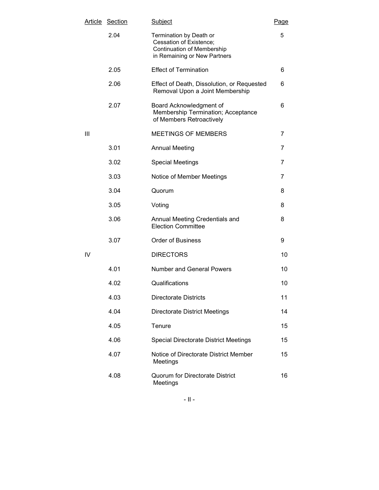| <u>Article</u> | <b>Section</b> | Subject                                                                                                          | Page |
|----------------|----------------|------------------------------------------------------------------------------------------------------------------|------|
|                | 2.04           | Termination by Death or<br>Cessation of Existence;<br>Continuation of Membership<br>in Remaining or New Partners | 5    |
|                | 2.05           | <b>Effect of Termination</b>                                                                                     | 6    |
|                | 2.06           | Effect of Death, Dissolution, or Requested<br>Removal Upon a Joint Membership                                    | 6    |
|                | 2.07           | Board Acknowledgment of<br>Membership Termination; Acceptance<br>of Members Retroactively                        | 6    |
| Ш              |                | MEETINGS OF MEMBERS                                                                                              | 7    |
|                | 3.01           | <b>Annual Meeting</b>                                                                                            | 7    |
|                | 3.02           | <b>Special Meetings</b>                                                                                          | 7    |
|                | 3.03           | Notice of Member Meetings                                                                                        | 7    |
|                | 3.04           | Quorum                                                                                                           | 8    |
|                | 3.05           | Voting                                                                                                           | 8    |
|                | 3.06           | Annual Meeting Credentials and<br><b>Election Committee</b>                                                      | 8    |
|                | 3.07           | <b>Order of Business</b>                                                                                         | 9    |
| IV             |                | <b>DIRECTORS</b>                                                                                                 | 10   |
|                | 4.01           | <b>Number and General Powers</b>                                                                                 | 10   |
|                | 4.02           | Qualifications                                                                                                   | 10   |
|                | 4.03           | <b>Directorate Districts</b>                                                                                     | 11   |
|                | 4.04           | <b>Directorate District Meetings</b>                                                                             | 14   |
|                | 4.05           | Tenure                                                                                                           | 15   |
|                | 4.06           | <b>Special Directorate District Meetings</b>                                                                     | 15   |
|                | 4.07           | Notice of Directorate District Member<br>Meetings                                                                | 15   |
|                | 4.08           | <b>Quorum for Directorate District</b><br>Meetings                                                               | 16   |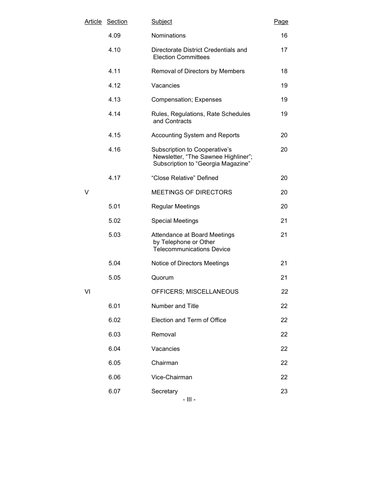| <u>Article</u> | <b>Section</b> | Subject                                                                                                    | Page |
|----------------|----------------|------------------------------------------------------------------------------------------------------------|------|
|                | 4.09           | Nominations                                                                                                | 16   |
|                | 4.10           | Directorate District Credentials and<br><b>Election Committees</b>                                         | 17   |
|                | 4.11           | Removal of Directors by Members                                                                            | 18   |
|                | 4.12           | Vacancies                                                                                                  | 19   |
|                | 4.13           | <b>Compensation; Expenses</b>                                                                              | 19   |
|                | 4.14           | Rules, Regulations, Rate Schedules<br>and Contracts                                                        | 19   |
|                | 4.15           | <b>Accounting System and Reports</b>                                                                       | 20   |
|                | 4.16           | Subscription to Cooperative's<br>Newsletter, "The Sawnee Highliner";<br>Subscription to "Georgia Magazine" | 20   |
|                | 4.17           | "Close Relative" Defined                                                                                   | 20   |
| V              |                | MEETINGS OF DIRECTORS                                                                                      | 20   |
|                | 5.01           | <b>Regular Meetings</b>                                                                                    | 20   |
|                | 5.02           | <b>Special Meetings</b>                                                                                    | 21   |
|                | 5.03           | Attendance at Board Meetings<br>by Telephone or Other<br><b>Telecommunications Device</b>                  | 21   |
|                | 5.04           | Notice of Directors Meetings                                                                               | 21   |
|                | 5.05           | Quorum                                                                                                     | 21   |
| VI             |                | OFFICERS; MISCELLANEOUS                                                                                    | 22   |
|                | 6.01           | Number and Title                                                                                           | 22   |
|                | 6.02           | Election and Term of Office                                                                                | 22   |
|                | 6.03           | Removal                                                                                                    | 22   |
|                | 6.04           | Vacancies                                                                                                  | 22   |
|                | 6.05           | Chairman                                                                                                   | 22   |
|                | 6.06           | Vice-Chairman                                                                                              | 22   |
|                | 6.07           | Secretary                                                                                                  | 23   |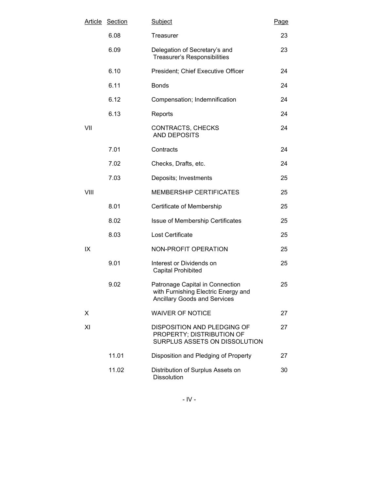| <u>Article</u> | <b>Section</b> | Subject                                                                                                       | Page |
|----------------|----------------|---------------------------------------------------------------------------------------------------------------|------|
|                | 6.08           | Treasurer                                                                                                     | 23   |
|                | 6.09           | Delegation of Secretary's and<br><b>Treasurer's Responsibilities</b>                                          | 23   |
|                | 6.10           | President; Chief Executive Officer                                                                            | 24   |
|                | 6.11           | <b>Bonds</b>                                                                                                  | 24   |
|                | 6.12           | Compensation; Indemnification                                                                                 | 24   |
|                | 6.13           | Reports                                                                                                       | 24   |
| VII            |                | CONTRACTS, CHECKS<br><b>AND DEPOSITS</b>                                                                      | 24   |
|                | 7.01           | Contracts                                                                                                     | 24   |
|                | 7.02           | Checks, Drafts, etc.                                                                                          | 24   |
|                | 7.03           | Deposits; Investments                                                                                         | 25   |
| VIII           |                | <b>MEMBERSHIP CERTIFICATES</b>                                                                                | 25   |
|                | 8.01           | Certificate of Membership                                                                                     | 25   |
|                | 8.02           | Issue of Membership Certificates                                                                              | 25   |
|                | 8.03           | Lost Certificate                                                                                              | 25   |
| ΙX             |                | NON-PROFIT OPERATION                                                                                          | 25   |
|                | 9.01           | Interest or Dividends on<br><b>Capital Prohibited</b>                                                         | 25   |
|                | 9.02           | Patronage Capital in Connection<br>with Furnishing Electric Energy and<br><b>Ancillary Goods and Services</b> | 25   |
| Χ              |                | <b>WAIVER OF NOTICE</b>                                                                                       | 27   |
| ΧI             |                | <b>DISPOSITION AND PLEDGING OF</b><br>PROPERTY; DISTRIBUTION OF<br>SURPLUS ASSETS ON DISSOLUTION              | 27   |
|                | 11.01          | Disposition and Pledging of Property                                                                          | 27   |
|                | 11.02          | Distribution of Surplus Assets on<br>Dissolution                                                              | 30   |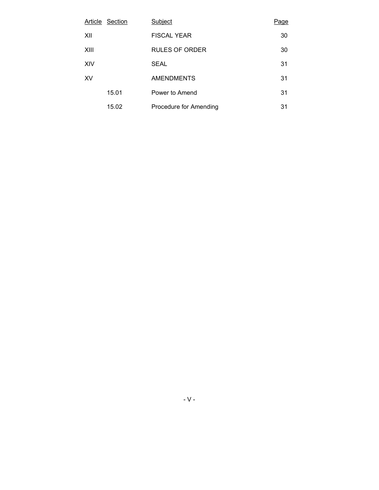|      | Article Section | Subject                | Page |
|------|-----------------|------------------------|------|
| XII  |                 | <b>FISCAL YEAR</b>     | 30   |
| XIII |                 | <b>RULES OF ORDER</b>  | 30   |
| XIV  |                 | <b>SEAL</b>            | 31   |
| XV   |                 | <b>AMENDMENTS</b>      | 31   |
|      | 15.01           | Power to Amend         | 31   |
|      | 15.02           | Procedure for Amending | 31   |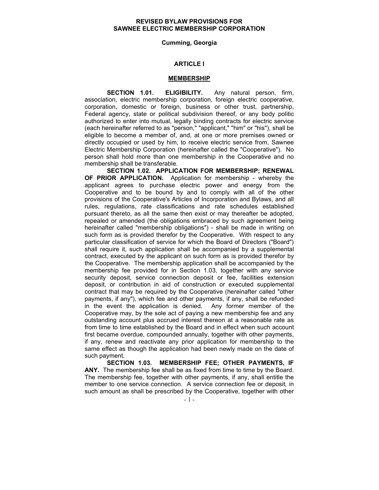## REVISED BYLAW PROVISIONS FOR SAWNEE ELECTRIC MEMBERSHIP CORPORATION

#### Cumming, Georgia

## ARTICLE I

#### MEMBERSHIP

SECTION 1.01. ELIGIBILITY. Any natural person, firm, association, electric membership corporation, foreign electric cooperative, corporation, domestic or foreign, business or other trust, partnership, Federal agency, state or political subdivision thereof, or any body politic authorized to enter into mutual, legally binding contracts for electric service (each hereinafter referred to as "person," "applicant," "him" or "his"), shall be eligible to become a member of, and, at one or more premises owned or directly occupied or used by him, to receive electric service from, Sawnee Electric Membership Corporation (hereinafter called the "Cooperative"). No person shall hold more than one membership in the Cooperative and no membership shall be transferable.

SECTION 1.02. APPLICATION FOR MEMBERSHIP; RENEWAL OF PRIOR APPLICATION. Application for membership - whereby the applicant agrees to purchase electric power and energy from the Cooperative and to be bound by and to comply with all of the other provisions of the Cooperative's Articles of Incorporation and Bylaws, and all rules, regulations, rate classifications and rate schedules established pursuant thereto, as all the same then exist or may thereafter be adopted, repealed or amended (the obligations embraced by such agreement being hereinafter called "membership obligations") - shall be made in writing on such form as is provided therefor by the Cooperative. With respect to any particular classification of service for which the Board of Directors ("Board") shall require it, such application shall be accompanied by a supplemental contract, executed by the applicant on such form as is provided therefor by the Cooperative. The membership application shall be accompanied by the membership fee provided for in Section 1.03, together with any service security deposit, service connection deposit or fee, facilities extension deposit, or contribution in aid of construction or executed supplemental contract that may be required by the Cooperative (hereinafter called "other payments, if any"), which fee and other payments, if any, shall be refunded in the event the application is denied. Any former member of the Cooperative may, by the sole act of paying a new membership fee and any outstanding account plus accrued interest thereon at a reasonable rate as from time to time established by the Board and in effect when such account first became overdue, compounded annually, together with other payments, if any, renew and reactivate any prior application for membership to the same effect as though the application had been newly made on the date of such payment.

SECTION 1.03. MEMBERSHIP FEE; OTHER PAYMENTS, IF ANY. The membership fee shall be as fixed from time to time by the Board. The membership fee, together with other payments, if any, shall entitle the member to one service connection. A service connection fee or deposit, in such amount as shall be prescribed by the Cooperative, together with other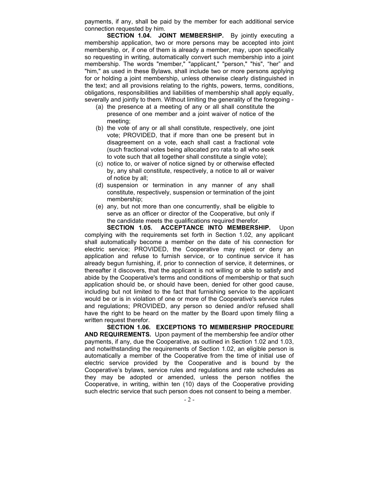payments, if any, shall be paid by the member for each additional service connection requested by him.

SECTION 1.04. JOINT MEMBERSHIP. By jointly executing a membership application, two or more persons may be accepted into joint membership, or, if one of them is already a member, may, upon specifically so requesting in writing, automatically convert such membership into a joint membership. The words "member," "applicant," "person," "his", "her" and "him," as used in these Bylaws, shall include two or more persons applying for or holding a joint membership, unless otherwise clearly distinguished in the text; and all provisions relating to the rights, powers, terms, conditions, obligations, responsibilities and liabilities of membership shall apply equally, severally and jointly to them. Without limiting the generality of the foregoing -

- (a) the presence at a meeting of any or all shall constitute the presence of one member and a joint waiver of notice of the meeting;
- (b) the vote of any or all shall constitute, respectively, one joint vote; PROVIDED, that if more than one be present but in disagreement on a vote, each shall cast a fractional vote (such fractional votes being allocated pro rata to all who seek to vote such that all together shall constitute a single vote);
- (c) notice to, or waiver of notice signed by or otherwise effected by, any shall constitute, respectively, a notice to all or waiver of notice by all;
- (d) suspension or termination in any manner of any shall constitute, respectively, suspension or termination of the joint membership;
- (e) any, but not more than one concurrently, shall be eligible to serve as an officer or director of the Cooperative, but only if the candidate meets the qualifications required therefor.

SECTION 1.05. ACCEPTANCE INTO MEMBERSHIP. Upon complying with the requirements set forth in Section 1.02, any applicant shall automatically become a member on the date of his connection for electric service; PROVIDED, the Cooperative may reject or deny an application and refuse to furnish service, or to continue service it has already begun furnishing, if, prior to connection of service, it determines, or thereafter it discovers, that the applicant is not willing or able to satisfy and abide by the Cooperative's terms and conditions of membership or that such application should be, or should have been, denied for other good cause, including but not limited to the fact that furnishing service to the applicant would be or is in violation of one or more of the Cooperative's service rules and regulations; PROVIDED, any person so denied and/or refused shall have the right to be heard on the matter by the Board upon timely filing a written request therefor.

SECTION 1.06. EXCEPTIONS TO MEMBERSHIP PROCEDURE AND REQUIREMENTS. Upon payment of the membership fee and/or other payments, if any, due the Cooperative, as outlined in Section 1.02 and 1.03, and notwithstanding the requirements of Section 1.02, an eligible person is automatically a member of the Cooperative from the time of initial use of electric service provided by the Cooperative and is bound by the Cooperative's bylaws, service rules and regulations and rate schedules as they may be adopted or amended, unless the person notifies the Cooperative, in writing, within ten (10) days of the Cooperative providing such electric service that such person does not consent to being a member.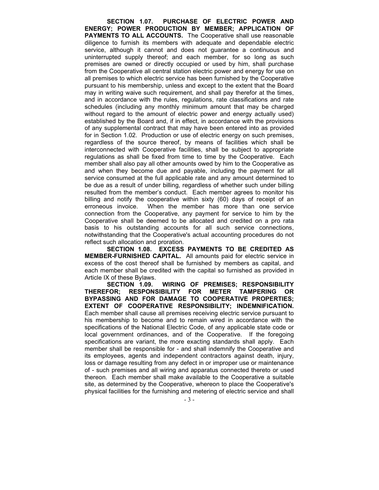SECTION 1.07. PURCHASE OF ELECTRIC POWER AND ENERGY; POWER PRODUCTION BY MEMBER; APPLICATION OF PAYMENTS TO ALL ACCOUNTS. The Cooperative shall use reasonable diligence to furnish its members with adequate and dependable electric service, although it cannot and does not guarantee a continuous and uninterrupted supply thereof; and each member, for so long as such premises are owned or directly occupied or used by him, shall purchase from the Cooperative all central station electric power and energy for use on all premises to which electric service has been furnished by the Cooperative pursuant to his membership, unless and except to the extent that the Board may in writing waive such requirement, and shall pay therefor at the times, and in accordance with the rules, regulations, rate classifications and rate schedules (including any monthly minimum amount that may be charged without regard to the amount of electric power and energy actually used) established by the Board and, if in effect, in accordance with the provisions of any supplemental contract that may have been entered into as provided for in Section 1.02. Production or use of electric energy on such premises, regardless of the source thereof, by means of facilities which shall be interconnected with Cooperative facilities, shall be subject to appropriate regulations as shall be fixed from time to time by the Cooperative. Each member shall also pay all other amounts owed by him to the Cooperative as and when they become due and payable, including the payment for all service consumed at the full applicable rate and any amount determined to be due as a result of under billing, regardless of whether such under billing resulted from the member's conduct. Each member agrees to monitor his billing and notify the cooperative within sixty (60) days of receipt of an erroneous invoice. When the member has more than one service connection from the Cooperative, any payment for service to him by the Cooperative shall be deemed to be allocated and credited on a pro rata basis to his outstanding accounts for all such service connections, notwithstanding that the Cooperative's actual accounting procedures do not reflect such allocation and proration.

SECTION 1.08. EXCESS PAYMENTS TO BE CREDITED AS MEMBER-FURNISHED CAPITAL. All amounts paid for electric service in excess of the cost thereof shall be furnished by members as capital, and each member shall be credited with the capital so furnished as provided in Article IX of these Bylaws.

SECTION 1.09. WIRING OF PREMISES; RESPONSIBILITY THEREFOR; RESPONSIBILITY FOR METER TAMPERING OR BYPASSING AND FOR DAMAGE TO COOPERATIVE PROPERTIES; EXTENT OF COOPERATIVE RESPONSIBILITY; INDEMNIFICATION. Each member shall cause all premises receiving electric service pursuant to his membership to become and to remain wired in accordance with the specifications of the National Electric Code, of any applicable state code or local government ordinances, and of the Cooperative. If the foregoing specifications are variant, the more exacting standards shall apply. Each member shall be responsible for - and shall indemnify the Cooperative and its employees, agents and independent contractors against death, injury, loss or damage resulting from any defect in or improper use or maintenance of - such premises and all wiring and apparatus connected thereto or used thereon. Each member shall make available to the Cooperative a suitable site, as determined by the Cooperative, whereon to place the Cooperative's physical facilities for the furnishing and metering of electric service and shall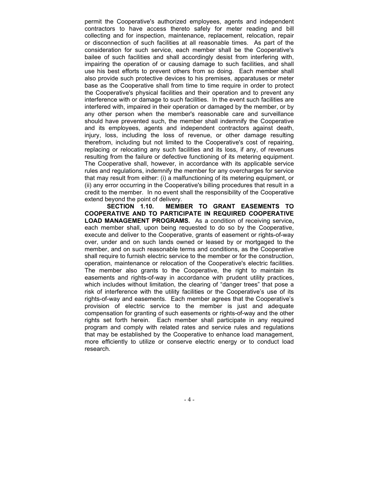permit the Cooperative's authorized employees, agents and independent contractors to have access thereto safely for meter reading and bill collecting and for inspection, maintenance, replacement, relocation, repair or disconnection of such facilities at all reasonable times. As part of the consideration for such service, each member shall be the Cooperative's bailee of such facilities and shall accordingly desist from interfering with, impairing the operation of or causing damage to such facilities, and shall use his best efforts to prevent others from so doing. Each member shall also provide such protective devices to his premises, apparatuses or meter base as the Cooperative shall from time to time require in order to protect the Cooperative's physical facilities and their operation and to prevent any interference with or damage to such facilities. In the event such facilities are interfered with, impaired in their operation or damaged by the member, or by any other person when the member's reasonable care and surveillance should have prevented such, the member shall indemnify the Cooperative and its employees, agents and independent contractors against death, injury, loss, including the loss of revenue, or other damage resulting therefrom, including but not limited to the Cooperative's cost of repairing, replacing or relocating any such facilities and its loss, if any, of revenues resulting from the failure or defective functioning of its metering equipment. The Cooperative shall, however, in accordance with its applicable service rules and regulations, indemnify the member for any overcharges for service that may result from either: (i) a malfunctioning of its metering equipment, or (ii) any error occurring in the Cooperative's billing procedures that result in a credit to the member. In no event shall the responsibility of the Cooperative extend beyond the point of delivery.

SECTION 1.10. MEMBER TO GRANT EASEMENTS TO COOPERATIVE AND TO PARTICIPATE IN REQUIRED COOPERATIVE LOAD MANAGEMENT PROGRAMS. As a condition of receiving service, each member shall, upon being requested to do so by the Cooperative, execute and deliver to the Cooperative, grants of easement or rights-of-way over, under and on such lands owned or leased by or mortgaged to the member, and on such reasonable terms and conditions, as the Cooperative shall require to furnish electric service to the member or for the construction, operation, maintenance or relocation of the Cooperative's electric facilities. The member also grants to the Cooperative, the right to maintain its easements and rights-of-way in accordance with prudent utility practices, which includes without limitation, the clearing of "danger trees" that pose a risk of interference with the utility facilities or the Cooperative's use of its rights-of-way and easements. Each member agrees that the Cooperative's provision of electric service to the member is just and adequate compensation for granting of such easements or rights-of-way and the other rights set forth herein. Each member shall participate in any required program and comply with related rates and service rules and regulations that may be established by the Cooperative to enhance load management, more efficiently to utilize or conserve electric energy or to conduct load research.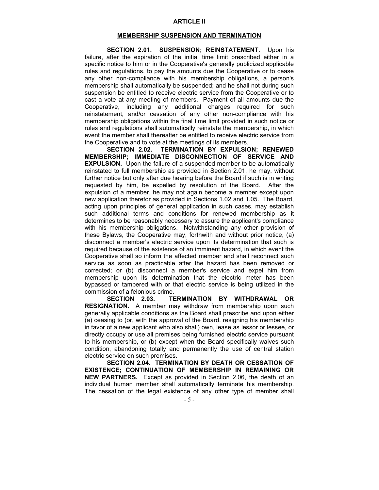## MEMBERSHIP SUSPENSION AND TERMINATION

SECTION 2.01. SUSPENSION; REINSTATEMENT. Upon his failure, after the expiration of the initial time limit prescribed either in a specific notice to him or in the Cooperative's generally publicized applicable rules and regulations, to pay the amounts due the Cooperative or to cease any other non-compliance with his membership obligations, a person's membership shall automatically be suspended; and he shall not during such suspension be entitled to receive electric service from the Cooperative or to cast a vote at any meeting of members. Payment of all amounts due the Cooperative, including any additional charges required for such reinstatement, and/or cessation of any other non-compliance with his membership obligations within the final time limit provided in such notice or rules and regulations shall automatically reinstate the membership, in which event the member shall thereafter be entitled to receive electric service from the Cooperative and to vote at the meetings of its members.

SECTION 2.02. TERMINATION BY EXPULSION; RENEWED MEMBERSHIP; IMMEDIATE DISCONNECTION OF SERVICE AND **EXPULSION.** Upon the failure of a suspended member to be automatically reinstated to full membership as provided in Section 2.01, he may, without further notice but only after due hearing before the Board if such is in writing requested by him, be expelled by resolution of the Board. After the expulsion of a member, he may not again become a member except upon new application therefor as provided in Sections 1.02 and 1.05. The Board, acting upon principles of general application in such cases, may establish such additional terms and conditions for renewed membership as it determines to be reasonably necessary to assure the applicant's compliance with his membership obligations. Notwithstanding any other provision of these Bylaws, the Cooperative may, forthwith and without prior notice, (a) disconnect a member's electric service upon its determination that such is required because of the existence of an imminent hazard, in which event the Cooperative shall so inform the affected member and shall reconnect such service as soon as practicable after the hazard has been removed or corrected; or (b) disconnect a member's service and expel him from membership upon its determination that the electric meter has been bypassed or tampered with or that electric service is being utilized in the commission of a felonious crime.

SECTION 2.03. TERMINATION BY WITHDRAWAL OR RESIGNATION. A member may withdraw from membership upon such generally applicable conditions as the Board shall prescribe and upon either (a) ceasing to (or, with the approval of the Board, resigning his membership in favor of a new applicant who also shall) own, lease as lessor or lessee, or directly occupy or use all premises being furnished electric service pursuant to his membership, or (b) except when the Board specifically waives such condition, abandoning totally and permanently the use of central station electric service on such premises.

SECTION 2.04. TERMINATION BY DEATH OR CESSATION OF EXISTENCE; CONTINUATION OF MEMBERSHIP IN REMAINING OR NEW PARTNERS. Except as provided in Section 2.06, the death of an individual human member shall automatically terminate his membership. The cessation of the legal existence of any other type of member shall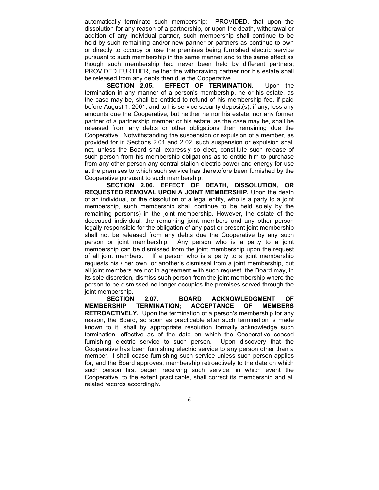automatically terminate such membership; PROVIDED, that upon the dissolution for any reason of a partnership, or upon the death, withdrawal or addition of any individual partner, such membership shall continue to be held by such remaining and/or new partner or partners as continue to own or directly to occupy or use the premises being furnished electric service pursuant to such membership in the same manner and to the same effect as though such membership had never been held by different partners; PROVIDED FURTHER, neither the withdrawing partner nor his estate shall be released from any debts then due the Cooperative.

SECTION 2.05. EFFECT OF TERMINATION. Upon the termination in any manner of a person's membership, he or his estate, as the case may be, shall be entitled to refund of his membership fee, if paid before August 1, 2001, and to his service security deposit(s), if any, less any amounts due the Cooperative, but neither he nor his estate, nor any former partner of a partnership member or his estate, as the case may be, shall be released from any debts or other obligations then remaining due the Cooperative. Notwithstanding the suspension or expulsion of a member, as provided for in Sections 2.01 and 2.02, such suspension or expulsion shall not, unless the Board shall expressly so elect, constitute such release of such person from his membership obligations as to entitle him to purchase from any other person any central station electric power and energy for use at the premises to which such service has theretofore been furnished by the Cooperative pursuant to such membership.

SECTION 2.06. EFFECT OF DEATH, DISSOLUTION, OR REQUESTED REMOVAL UPON A JOINT MEMBERSHIP. Upon the death of an individual, or the dissolution of a legal entity, who is a party to a joint membership, such membership shall continue to be held solely by the remaining person(s) in the joint membership. However, the estate of the deceased individual, the remaining joint members and any other person legally responsible for the obligation of any past or present joint membership shall not be released from any debts due the Cooperative by any such person or joint membership. Any person who is a party to a joint membership can be dismissed from the joint membership upon the request of all joint members. If a person who is a party to a joint membership requests his / her own, or another's dismissal from a joint membership, but all joint members are not in agreement with such request, the Board may, in its sole discretion, dismiss such person from the joint membership where the person to be dismissed no longer occupies the premises served through the joint membership.

SECTION 2.07. BOARD ACKNOWLEDGMENT OF<br>RSHIP TERMINATION; ACCEPTANCE OF MEMBERS! MEMBERSHIP TERMINATION; ACCEPTANCE OF RETROACTIVELY. Upon the termination of a person's membership for any reason, the Board, so soon as practicable after such termination is made known to it, shall by appropriate resolution formally acknowledge such termination, effective as of the date on which the Cooperative ceased furnishing electric service to such person. Upon discovery that the Cooperative has been furnishing electric service to any person other than a member, it shall cease furnishing such service unless such person applies for, and the Board approves, membership retroactively to the date on which such person first began receiving such service, in which event the Cooperative, to the extent practicable, shall correct its membership and all related records accordingly.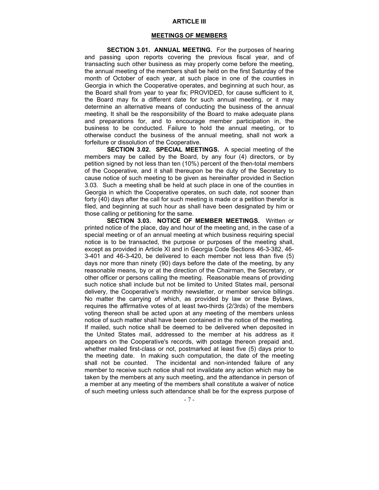#### ARTICLE III

#### MEETINGS OF MEMBERS

SECTION 3.01. ANNUAL MEETING. For the purposes of hearing and passing upon reports covering the previous fiscal year, and of transacting such other business as may properly come before the meeting, the annual meeting of the members shall be held on the first Saturday of the month of October of each year, at such place in one of the counties in Georgia in which the Cooperative operates, and beginning at such hour, as the Board shall from year to year fix; PROVIDED, for cause sufficient to it, the Board may fix a different date for such annual meeting, or it may determine an alternative means of conducting the business of the annual meeting. It shall be the responsibility of the Board to make adequate plans and preparations for, and to encourage member participation in, the business to be conducted. Failure to hold the annual meeting, or to otherwise conduct the business of the annual meeting, shall not work a forfeiture or dissolution of the Cooperative.

SECTION 3.02. SPECIAL MEETINGS. A special meeting of the members may be called by the Board, by any four (4) directors, or by petition signed by not less than ten (10%) percent of the then-total members of the Cooperative, and it shall thereupon be the duty of the Secretary to cause notice of such meeting to be given as hereinafter provided in Section 3.03. Such a meeting shall be held at such place in one of the counties in Georgia in which the Cooperative operates, on such date, not sooner than forty (40) days after the call for such meeting is made or a petition therefor is filed, and beginning at such hour as shall have been designated by him or those calling or petitioning for the same.

SECTION 3.03. NOTICE OF MEMBER MEETINGS. Written or printed notice of the place, day and hour of the meeting and, in the case of a special meeting or of an annual meeting at which business requiring special notice is to be transacted, the purpose or purposes of the meeting shall, except as provided in Article XI and in Georgia Code Sections 46-3-382, 46- 3-401 and 46-3-420, be delivered to each member not less than five (5) days nor more than ninety (90) days before the date of the meeting, by any reasonable means, by or at the direction of the Chairman, the Secretary, or other officer or persons calling the meeting. Reasonable means of providing such notice shall include but not be limited to United States mail, personal delivery, the Cooperative's monthly newsletter, or member service billings. No matter the carrying of which, as provided by law or these Bylaws, requires the affirmative votes of at least two-thirds (2/3rds) of the members voting thereon shall be acted upon at any meeting of the members unless notice of such matter shall have been contained in the notice of the meeting. If mailed, such notice shall be deemed to be delivered when deposited in the United States mail, addressed to the member at his address as it appears on the Cooperative's records, with postage thereon prepaid and, whether mailed first-class or not, postmarked at least five (5) days prior to the meeting date. In making such computation, the date of the meeting shall not be counted. The incidental and non-intended failure of any member to receive such notice shall not invalidate any action which may be taken by the members at any such meeting, and the attendance in person of a member at any meeting of the members shall constitute a waiver of notice of such meeting unless such attendance shall be for the express purpose of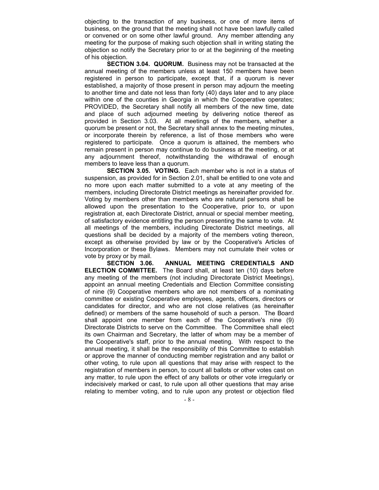objecting to the transaction of any business, or one of more items of business, on the ground that the meeting shall not have been lawfully called or convened or on some other lawful ground. Any member attending any meeting for the purpose of making such objection shall in writing stating the objection so notify the Secretary prior to or at the beginning of the meeting of his objection.

SECTION 3.04. QUORUM. Business may not be transacted at the annual meeting of the members unless at least 150 members have been registered in person to participate, except that, if a quorum is never established, a majority of those present in person may adjourn the meeting to another time and date not less than forty (40) days later and to any place within one of the counties in Georgia in which the Cooperative operates; PROVIDED, the Secretary shall notify all members of the new time, date and place of such adjourned meeting by delivering notice thereof as provided in Section 3.03. At all meetings of the members, whether a quorum be present or not, the Secretary shall annex to the meeting minutes, or incorporate therein by reference, a list of those members who were registered to participate. Once a quorum is attained, the members who remain present in person may continue to do business at the meeting, or at any adjournment thereof, notwithstanding the withdrawal of enough members to leave less than a quorum.

SECTION 3.05. VOTING. Each member who is not in a status of suspension, as provided for in Section 2.01, shall be entitled to one vote and no more upon each matter submitted to a vote at any meeting of the members, including Directorate District meetings as hereinafter provided for. Voting by members other than members who are natural persons shall be allowed upon the presentation to the Cooperative, prior to, or upon registration at, each Directorate District, annual or special member meeting, of satisfactory evidence entitling the person presenting the same to vote. At all meetings of the members, including Directorate District meetings, all questions shall be decided by a majority of the members voting thereon, except as otherwise provided by law or by the Cooperative's Articles of Incorporation or these Bylaws. Members may not cumulate their votes or

vote by proxy or by mail.<br>**SECTION** 3.06. ANNUAL MEETING CREDENTIALS AND ELECTION COMMITTEE. The Board shall, at least ten (10) days before any meeting of the members (not including Directorate District Meetings), appoint an annual meeting Credentials and Election Committee consisting of nine (9) Cooperative members who are not members of a nominating committee or existing Cooperative employees, agents, officers, directors or candidates for director, and who are not close relatives (as hereinafter defined) or members of the same household of such a person. The Board shall appoint one member from each of the Cooperative's nine (9) Directorate Districts to serve on the Committee. The Committee shall elect its own Chairman and Secretary, the latter of whom may be a member of the Cooperative's staff, prior to the annual meeting. With respect to the annual meeting, it shall be the responsibility of this Committee to establish or approve the manner of conducting member registration and any ballot or other voting, to rule upon all questions that may arise with respect to the registration of members in person, to count all ballots or other votes cast on any matter, to rule upon the effect of any ballots or other vote irregularly or indecisively marked or cast, to rule upon all other questions that may arise relating to member voting, and to rule upon any protest or objection filed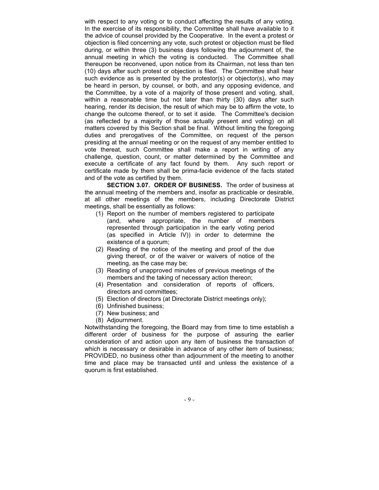with respect to any voting or to conduct affecting the results of any voting. In the exercise of its responsibility, the Committee shall have available to it the advice of counsel provided by the Cooperative. In the event a protest or objection is filed concerning any vote, such protest or objection must be filed during, or within three (3) business days following the adjournment of, the annual meeting in which the voting is conducted. The Committee shall thereupon be reconvened, upon notice from its Chairman, not less than ten (10) days after such protest or objection is filed. The Committee shall hear such evidence as is presented by the protestor(s) or objector(s), who may be heard in person, by counsel, or both, and any opposing evidence, and the Committee, by a vote of a majority of those present and voting, shall, within a reasonable time but not later than thirty (30) days after such hearing, render its decision, the result of which may be to affirm the vote, to change the outcome thereof, or to set it aside. The Committee's decision (as reflected by a majority of those actually present and voting) on all matters covered by this Section shall be final. Without limiting the foregoing duties and prerogatives of the Committee, on request of the person presiding at the annual meeting or on the request of any member entitled to vote thereat, such Committee shall make a report in writing of any challenge, question, count, or matter determined by the Committee and execute a certificate of any fact found by them. Any such report or certificate made by them shall be prima-facie evidence of the facts stated and of the vote as certified by them.

SECTION 3.07. ORDER OF BUSINESS. The order of business at the annual meeting of the members and, insofar as practicable or desirable, at all other meetings of the members, including Directorate District meetings, shall be essentially as follows:

- (1) Report on the number of members registered to participate (and, where appropriate, the number of members represented through participation in the early voting period (as specified in Article IV)) in order to determine the existence of a quorum;
- (2) Reading of the notice of the meeting and proof of the due giving thereof, or of the waiver or waivers of notice of the meeting, as the case may be;
- (3) Reading of unapproved minutes of previous meetings of the members and the taking of necessary action thereon;
- (4) Presentation and consideration of reports of officers, directors and committees;
- (5) Election of directors (at Directorate District meetings only);
- (6) Unfinished business;
- (7) New business; and
- (8) Adjournment.

Notwithstanding the foregoing, the Board may from time to time establish a different order of business for the purpose of assuring the earlier consideration of and action upon any item of business the transaction of which is necessary or desirable in advance of any other item of business; PROVIDED, no business other than adjournment of the meeting to another time and place may be transacted until and unless the existence of a quorum is first established.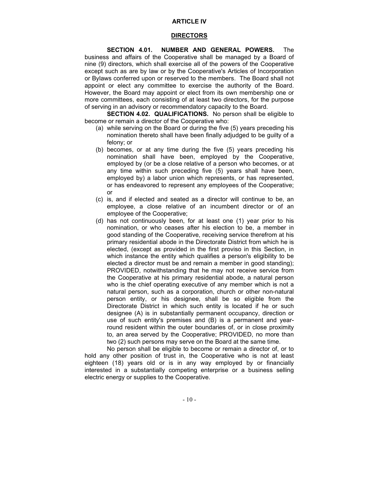## ARTICLE IV

## DIRECTORS

SECTION 4.01. NUMBER AND GENERAL POWERS. The business and affairs of the Cooperative shall be managed by a Board of nine (9) directors, which shall exercise all of the powers of the Cooperative except such as are by law or by the Cooperative's Articles of Incorporation or Bylaws conferred upon or reserved to the members. The Board shall not appoint or elect any committee to exercise the authority of the Board. However, the Board may appoint or elect from its own membership one or more committees, each consisting of at least two directors, for the purpose of serving in an advisory or recommendatory capacity to the Board.

SECTION 4.02. QUALIFICATIONS. No person shall be eligible to become or remain a director of the Cooperative who:

- (a) while serving on the Board or during the five (5) years preceding his nomination thereto shall have been finally adjudged to be guilty of a felony; or
- (b) becomes, or at any time during the five (5) years preceding his nomination shall have been, employed by the Cooperative, employed by (or be a close relative of a person who becomes, or at any time within such preceding five (5) years shall have been, employed by) a labor union which represents, or has represented, or has endeavored to represent any employees of the Cooperative; or
- (c) is, and if elected and seated as a director will continue to be, an employee, a close relative of an incumbent director or of an employee of the Cooperative;
- (d) has not continuously been, for at least one (1) year prior to his nomination, or who ceases after his election to be, a member in good standing of the Cooperative, receiving service therefrom at his primary residential abode in the Directorate District from which he is elected, (except as provided in the first proviso in this Section, in which instance the entity which qualifies a person's eligibility to be elected a director must be and remain a member in good standing); PROVIDED, notwithstanding that he may not receive service from the Cooperative at his primary residential abode, a natural person who is the chief operating executive of any member which is not a natural person, such as a corporation, church or other non-natural person entity, or his designee, shall be so eligible from the Directorate District in which such entity is located if he or such designee (A) is in substantially permanent occupancy, direction or use of such entity's premises and (B) is a permanent and yearround resident within the outer boundaries of, or in close proximity to, an area served by the Cooperative; PROVIDED, no more than two (2) such persons may serve on the Board at the same time.

No person shall be eligible to become or remain a director of, or to hold any other position of trust in, the Cooperative who is not at least eighteen (18) years old or is in any way employed by or financially interested in a substantially competing enterprise or a business selling electric energy or supplies to the Cooperative.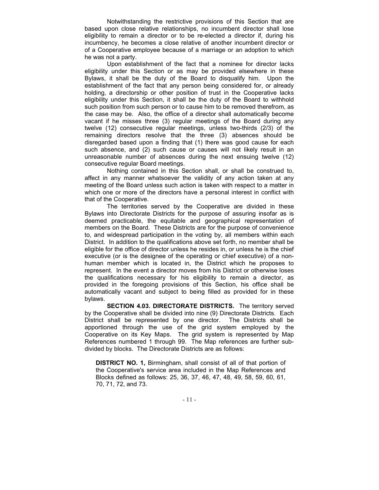Notwithstanding the restrictive provisions of this Section that are based upon close relative relationships, no incumbent director shall lose eligibility to remain a director or to be re-elected a director if, during his incumbency, he becomes a close relative of another incumbent director or of a Cooperative employee because of a marriage or an adoption to which he was not a party.

Upon establishment of the fact that a nominee for director lacks eligibility under this Section or as may be provided elsewhere in these Bylaws, it shall be the duty of the Board to disqualify him. Upon the establishment of the fact that any person being considered for, or already holding, a directorship or other position of trust in the Cooperative lacks eligibility under this Section, it shall be the duty of the Board to withhold such position from such person or to cause him to be removed therefrom, as the case may be. Also, the office of a director shall automatically become vacant if he misses three (3) regular meetings of the Board during any twelve (12) consecutive regular meetings, unless two-thirds (2/3) of the remaining directors resolve that the three (3) absences should be disregarded based upon a finding that (1) there was good cause for each such absence, and (2) such cause or causes will not likely result in an unreasonable number of absences during the next ensuing twelve (12) consecutive regular Board meetings.

Nothing contained in this Section shall, or shall be construed to, affect in any manner whatsoever the validity of any action taken at any meeting of the Board unless such action is taken with respect to a matter in which one or more of the directors have a personal interest in conflict with that of the Cooperative.

The territories served by the Cooperative are divided in these Bylaws into Directorate Districts for the purpose of assuring insofar as is deemed practicable, the equitable and geographical representation of members on the Board. These Districts are for the purpose of convenience to, and widespread participation in the voting by, all members within each District. In addition to the qualifications above set forth, no member shall be eligible for the office of director unless he resides in, or unless he is the chief executive (or is the designee of the operating or chief executive) of a nonhuman member which is located in, the District which he proposes to represent. In the event a director moves from his District or otherwise loses the qualifications necessary for his eligibility to remain a director, as provided in the foregoing provisions of this Section, his office shall be automatically vacant and subject to being filled as provided for in these bylaws.

SECTION 4.03. DIRECTORATE DISTRICTS. The territory served by the Cooperative shall be divided into nine (9) Directorate Districts. Each District shall be represented by one director. The Districts shall be apportioned through the use of the grid system employed by the Cooperative on its Key Maps. The grid system is represented by Map References numbered 1 through 99. The Map references are further subdivided by blocks. The Directorate Districts are as follows:

DISTRICT NO. 1, Birmingham, shall consist of all of that portion of the Cooperative's service area included in the Map References and Blocks defined as follows: 25, 36, 37, 46, 47, 48, 49, 58, 59, 60, 61, 70, 71, 72, and 73.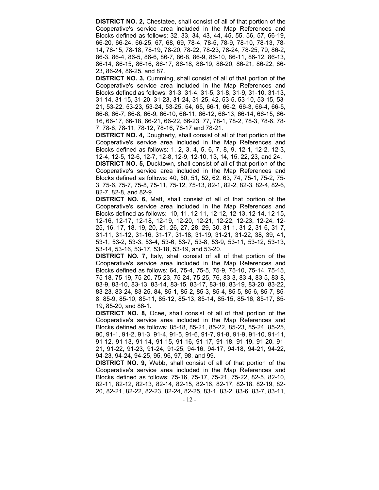DISTRICT NO. 2, Chestatee, shall consist of all of that portion of the Cooperative's service area included in the Map References and Blocks defined as follows: 32, 33, 34, 43, 44, 45, 55, 56, 57, 66-19, 66-20, 66-24, 66-25, 67, 68, 69, 78-4, 78-5, 78-9, 78-10, 78-13, 78- 14, 78-15, 78-18, 78-19, 78-20, 78-22, 78-23, 78-24, 78-25, 79, 86-2, 86-3, 86-4, 86-5, 86-6, 86-7, 86-8, 86-9, 86-10, 86-11, 86-12, 86-13, 86-14, 86-15, 86-16, 86-17, 86-18, 86-19, 86-20, 86-21, 86-22, 86- 23, 86-24, 86-25, and 87.

**DISTRICT NO. 3, Cumming, shall consist of all of that portion of the** Cooperative's service area included in the Map References and Blocks defined as follows: 31-3, 31-4, 31-5, 31-8, 31-9, 31-10, 31-13, 31-14, 31-15, 31-20, 31-23, 31-24, 31-25, 42, 53-5, 53-10, 53-15, 53- 21, 53-22, 53-23, 53-24, 53-25, 54, 65, 66-1, 66-2, 66-3, 66-4, 66-5, 66-6, 66-7, 66-8, 66-9, 66-10, 66-11, 66-12, 66-13, 66-14, 66-15, 66- 16, 66-17, 66-18, 66-21, 66-22, 66-23, 77, 78-1, 78-2, 78-3, 78-6, 78- 7, 78-8, 78-11, 78-12, 78-16, 78-17 and 78-21.

**DISTRICT NO. 4, Dougherty, shall consist of all of that portion of the** Cooperative's service area included in the Map References and Blocks defined as follows: 1, 2, 3, 4, 5, 6, 7, 8, 9, 12-1, 12-2, 12-3, 12-4, 12-5, 12-6, 12-7, 12-8, 12-9, 12-10, 13, 14, 15, 22, 23, and 24.

DISTRICT NO. 5, Ducktown, shall consist of all of that portion of the Cooperative's service area included in the Map References and Blocks defined as follows: 40, 50, 51, 52, 62, 63, 74, 75-1, 75-2, 75- 3, 75-6, 75-7, 75-8, 75-11, 75-12, 75-13, 82-1, 82-2, 82-3, 82-4, 82-6, 82-7, 82-8, and 82-9.

DISTRICT NO. 6, Matt, shall consist of all of that portion of the Cooperative's service area included in the Map References and Blocks defined as follows: 10, 11, 12-11, 12-12, 12-13, 12-14, 12-15, 12-16, 12-17, 12-18, 12-19, 12-20, 12-21, 12-22, 12-23, 12-24, 12- 25, 16, 17, 18, 19, 20, 21, 26, 27, 28, 29, 30, 31-1, 31-2, 31-6, 31-7, 31-11, 31-12, 31-16, 31-17, 31-18, 31-19, 31-21, 31-22, 38, 39, 41, 53-1, 53-2, 53-3, 53-4, 53-6, 53-7, 53-8, 53-9, 53-11, 53-12, 53-13, 53-14, 53-16, 53-17, 53-18, 53-19, and 53-20.

**DISTRICT NO. 7.** Italy, shall consist of all of that portion of the Cooperative's service area included in the Map References and Blocks defined as follows: 64, 75-4, 75-5, 75-9, 75-10, 75-14, 75-15, 75-18, 75-19, 75-20, 75-23, 75-24, 75-25, 76, 83-3, 83-4, 83-5, 83-8, 83-9, 83-10, 83-13, 83-14, 83-15, 83-17, 83-18, 83-19, 83-20, 83-22, 83-23, 83-24, 83-25, 84, 85-1, 85-2, 85-3, 85-4, 85-5, 85-6, 85-7, 85- 8, 85-9, 85-10, 85-11, 85-12, 85-13, 85-14, 85-15, 85-16, 85-17, 85- 19, 85-20, and 86-1.

**DISTRICT NO. 8,** Ocee, shall consist of all of that portion of the Cooperative's service area included in the Map References and Blocks defined as follows: 85-18, 85-21, 85-22, 85-23, 85-24, 85-25, 90, 91-1, 91-2, 91-3, 91-4, 91-5, 91-6, 91-7, 91-8, 91-9, 91-10, 91-11, 91-12, 91-13, 91-14, 91-15, 91-16, 91-17, 91-18, 91-19, 91-20, 91- 21, 91-22, 91-23, 91-24, 91-25, 94-16, 94-17, 94-18, 94-21, 94-22, 94-23, 94-24, 94-25, 95, 96, 97, 98, and 99.

DISTRICT NO. 9, Webb, shall consist of all of that portion of the Cooperative's service area included in the Map References and Blocks defined as follows: 75-16, 75-17, 75-21, 75-22, 82-5, 82-10, 82-11, 82-12, 82-13, 82-14, 82-15, 82-16, 82-17, 82-18, 82-19, 82- 20, 82-21, 82-22, 82-23, 82-24, 82-25, 83-1, 83-2, 83-6, 83-7, 83-11,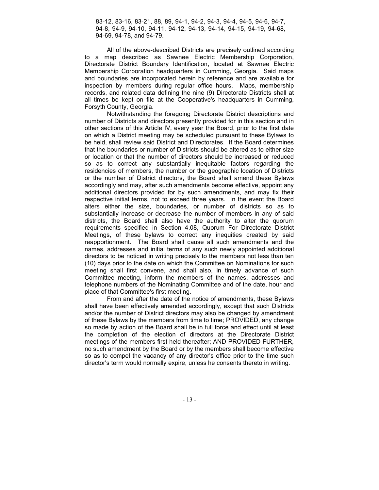83-12, 83-16, 83-21, 88, 89, 94-1, 94-2, 94-3, 94-4, 94-5, 94-6, 94-7, 94-8, 94-9, 94-10, 94-11, 94-12, 94-13, 94-14, 94-15, 94-19, 94-68, 94-69, 94-78, and 94-79.

All of the above-described Districts are precisely outlined according to a map described as Sawnee Electric Membership Corporation, Directorate District Boundary Identification, located at Sawnee Electric Membership Corporation headquarters in Cumming, Georgia. Said maps and boundaries are incorporated herein by reference and are available for inspection by members during regular office hours. Maps, membership records, and related data defining the nine (9) Directorate Districts shall at all times be kept on file at the Cooperative's headquarters in Cumming, Forsyth County, Georgia.

Notwithstanding the foregoing Directorate District descriptions and number of Districts and directors presently provided for in this section and in other sections of this Article IV, every year the Board, prior to the first date on which a District meeting may be scheduled pursuant to these Bylaws to be held, shall review said District and Directorates. If the Board determines that the boundaries or number of Districts should be altered as to either size or location or that the number of directors should be increased or reduced so as to correct any substantially inequitable factors regarding the residencies of members, the number or the geographic location of Districts or the number of District directors, the Board shall amend these Bylaws accordingly and may, after such amendments become effective, appoint any additional directors provided for by such amendments, and may fix their respective initial terms, not to exceed three years. In the event the Board alters either the size, boundaries, or number of districts so as to substantially increase or decrease the number of members in any of said districts, the Board shall also have the authority to alter the quorum requirements specified in Section 4.08, Quorum For Directorate District Meetings, of these bylaws to correct any inequities created by said reapportionment. The Board shall cause all such amendments and the names, addresses and initial terms of any such newly appointed additional directors to be noticed in writing precisely to the members not less than ten (10) days prior to the date on which the Committee on Nominations for such meeting shall first convene, and shall also, in timely advance of such Committee meeting, inform the members of the names, addresses and telephone numbers of the Nominating Committee and of the date, hour and place of that Committee's first meeting.

From and after the date of the notice of amendments, these Bylaws shall have been effectively amended accordingly, except that such Districts and/or the number of District directors may also be changed by amendment of these Bylaws by the members from time to time; PROVIDED, any change so made by action of the Board shall be in full force and effect until at least the completion of the election of directors at the Directorate District meetings of the members first held thereafter; AND PROVIDED FURTHER, no such amendment by the Board or by the members shall become effective so as to compel the vacancy of any director's office prior to the time such director's term would normally expire, unless he consents thereto in writing.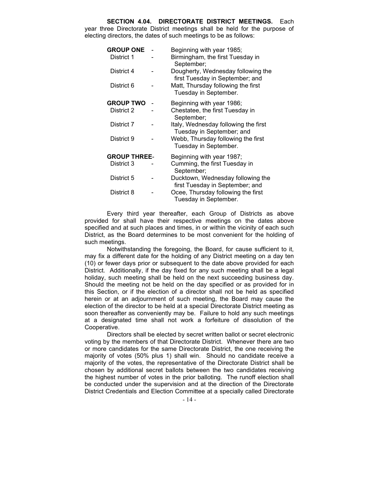SECTION 4.04. DIRECTORATE DISTRICT MEETINGS. Each year three Directorate District meetings shall be held for the purpose of electing directors, the dates of such meetings to be as follows:

| <b>GROUP ONE</b>    |  | Beginning with year 1985;                                             |
|---------------------|--|-----------------------------------------------------------------------|
| District 1          |  | Birmingham, the first Tuesday in<br>September;                        |
| District 4          |  | Dougherty, Wednesday following the<br>first Tuesday in September; and |
| District 6          |  | Matt, Thursday following the first<br>Tuesday in September.           |
| <b>GROUP TWO</b>    |  | Beginning with year 1986;                                             |
| District 2          |  | Chestatee, the first Tuesday in<br>September;                         |
| District 7          |  | Italy, Wednesday following the first<br>Tuesday in September; and     |
| District 9          |  | Webb, Thursday following the first<br>Tuesday in September.           |
| <b>GROUP THREE-</b> |  | Beginning with year 1987;                                             |
| District 3          |  | Cumming, the first Tuesday in<br>September;                           |
| District 5          |  | Ducktown, Wednesday following the<br>first Tuesday in September; and  |
| District 8          |  | Ocee, Thursday following the first<br>Tuesday in September.           |

Every third year thereafter, each Group of Districts as above provided for shall have their respective meetings on the dates above specified and at such places and times, in or within the vicinity of each such District, as the Board determines to be most convenient for the holding of such meetings.

Notwithstanding the foregoing, the Board, for cause sufficient to it, may fix a different date for the holding of any District meeting on a day ten (10) or fewer days prior or subsequent to the date above provided for each District. Additionally, if the day fixed for any such meeting shall be a legal holiday, such meeting shall be held on the next succeeding business day. Should the meeting not be held on the day specified or as provided for in this Section, or if the election of a director shall not be held as specified herein or at an adjournment of such meeting, the Board may cause the election of the director to be held at a special Directorate District meeting as soon thereafter as conveniently may be. Failure to hold any such meetings at a designated time shall not work a forfeiture of dissolution of the Cooperative.

Directors shall be elected by secret written ballot or secret electronic voting by the members of that Directorate District. Whenever there are two or more candidates for the same Directorate District, the one receiving the majority of votes (50% plus 1) shall win. Should no candidate receive a majority of the votes, the representative of the Directorate District shall be chosen by additional secret ballots between the two candidates receiving the highest number of votes in the prior balloting. The runoff election shall be conducted under the supervision and at the direction of the Directorate District Credentials and Election Committee at a specially called Directorate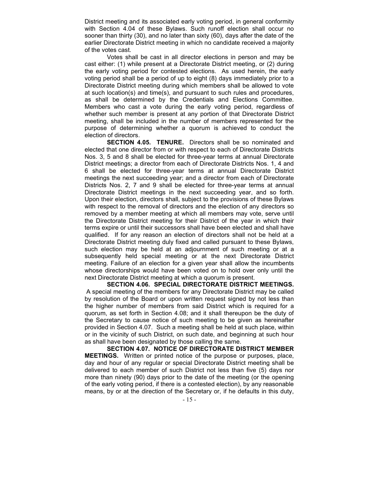District meeting and its associated early voting period, in general conformity with Section 4.04 of these Bylaws. Such runoff election shall occur no sooner than thirty (30), and no later than sixty (60), days after the date of the earlier Directorate District meeting in which no candidate received a majority of the votes cast.

Votes shall be cast in all director elections in person and may be cast either: (1) while present at a Directorate District meeting, or (2) during the early voting period for contested elections. As used herein, the early voting period shall be a period of up to eight (8) days immediately prior to a Directorate District meeting during which members shall be allowed to vote at such location(s) and time(s), and pursuant to such rules and procedures, as shall be determined by the Credentials and Elections Committee. Members who cast a vote during the early voting period, regardless of whether such member is present at any portion of that Directorate District meeting, shall be included in the number of members represented for the purpose of determining whether a quorum is achieved to conduct the election of directors.

SECTION 4.05. TENURE. Directors shall be so nominated and elected that one director from or with respect to each of Directorate Districts Nos. 3, 5 and 8 shall be elected for three-year terms at annual Directorate District meetings; a director from each of Directorate Districts Nos. 1, 4 and 6 shall be elected for three-year terms at annual Directorate District meetings the next succeeding year; and a director from each of Directorate Districts Nos. 2, 7 and 9 shall be elected for three-year terms at annual Directorate District meetings in the next succeeding year, and so forth. Upon their election, directors shall, subject to the provisions of these Bylaws with respect to the removal of directors and the election of any directors so removed by a member meeting at which all members may vote, serve until the Directorate District meeting for their District of the year in which their terms expire or until their successors shall have been elected and shall have qualified. If for any reason an election of directors shall not be held at a Directorate District meeting duly fixed and called pursuant to these Bylaws, such election may be held at an adjournment of such meeting or at a subsequently held special meeting or at the next Directorate District meeting. Failure of an election for a given year shall allow the incumbents whose directorships would have been voted on to hold over only until the next Directorate District meeting at which a quorum is present.

SECTION 4.06. SPECIAL DIRECTORATE DISTRICT MEETINGS. A special meeting of the members for any Directorate District may be called by resolution of the Board or upon written request signed by not less than the higher number of members from said District which is required for a quorum, as set forth in Section 4.08; and it shall thereupon be the duty of the Secretary to cause notice of such meeting to be given as hereinafter provided in Section 4.07. Such a meeting shall be held at such place, within or in the vicinity of such District, on such date, and beginning at such hour as shall have been designated by those calling the same.

SECTION 4.07. NOTICE OF DIRECTORATE DISTRICT MEMBER MEETINGS. Written or printed notice of the purpose or purposes, place, day and hour of any regular or special Directorate District meeting shall be delivered to each member of such District not less than five (5) days nor more than ninety (90) days prior to the date of the meeting (or the opening of the early voting period, if there is a contested election), by any reasonable means, by or at the direction of the Secretary or, if he defaults in this duty,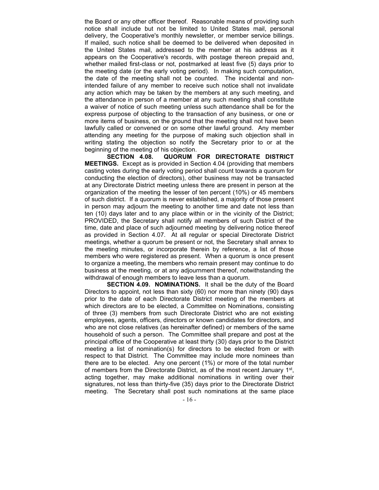the Board or any other officer thereof. Reasonable means of providing such notice shall include but not be limited to United States mail, personal delivery, the Cooperative's monthly newsletter, or member service billings. If mailed, such notice shall be deemed to be delivered when deposited in the United States mail, addressed to the member at his address as it appears on the Cooperative's records, with postage thereon prepaid and, whether mailed first-class or not, postmarked at least five (5) days prior to the meeting date (or the early voting period). In making such computation, the date of the meeting shall not be counted. The incidental and nonintended failure of any member to receive such notice shall not invalidate any action which may be taken by the members at any such meeting, and the attendance in person of a member at any such meeting shall constitute a waiver of notice of such meeting unless such attendance shall be for the express purpose of objecting to the transaction of any business, or one or more items of business, on the ground that the meeting shall not have been lawfully called or convened or on some other lawful ground. Any member attending any meeting for the purpose of making such objection shall in writing stating the objection so notify the Secretary prior to or at the beginning of the meeting of his objection.

SECTION 4.08. QUORUM FOR DIRECTORATE DISTRICT MEETINGS. Except as is provided in Section 4.04 (providing that members casting votes during the early voting period shall count towards a quorum for conducting the election of directors), other business may not be transacted at any Directorate District meeting unless there are present in person at the organization of the meeting the lesser of ten percent (10%) or 45 members of such district. If a quorum is never established, a majority of those present in person may adjourn the meeting to another time and date not less than ten (10) days later and to any place within or in the vicinity of the District; PROVIDED, the Secretary shall notify all members of such District of the time, date and place of such adjourned meeting by delivering notice thereof as provided in Section 4.07. At all regular or special Directorate District meetings, whether a quorum be present or not, the Secretary shall annex to the meeting minutes, or incorporate therein by reference, a list of those members who were registered as present. When a quorum is once present to organize a meeting, the members who remain present may continue to do business at the meeting, or at any adjournment thereof, notwithstanding the withdrawal of enough members to leave less than a quorum.

SECTION 4.09. NOMINATIONS. It shall be the duty of the Board Directors to appoint, not less than sixty (60) nor more than ninety (90) days prior to the date of each Directorate District meeting of the members at which directors are to be elected, a Committee on Nominations, consisting of three (3) members from such Directorate District who are not existing employees, agents, officers, directors or known candidates for directors, and who are not close relatives (as hereinafter defined) or members of the same household of such a person. The Committee shall prepare and post at the principal office of the Cooperative at least thirty (30) days prior to the District meeting a list of nomination(s) for directors to be elected from or with respect to that District. The Committee may include more nominees than there are to be elected. Any one percent (1%) or more of the total number of members from the Directorate District, as of the most recent January 1<sup>st</sup>, acting together, may make additional nominations in writing over their signatures, not less than thirty-five (35) days prior to the Directorate District meeting. The Secretary shall post such nominations at the same place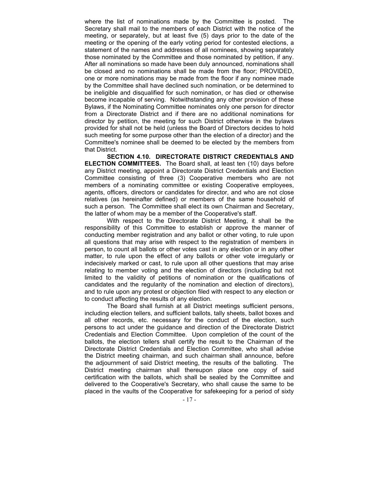where the list of nominations made by the Committee is posted. The Secretary shall mail to the members of each District with the notice of the meeting, or separately, but at least five (5) days prior to the date of the meeting or the opening of the early voting period for contested elections, a statement of the names and addresses of all nominees, showing separately those nominated by the Committee and those nominated by petition, if any. After all nominations so made have been duly announced, nominations shall be closed and no nominations shall be made from the floor; PROVIDED, one or more nominations may be made from the floor if any nominee made by the Committee shall have declined such nomination, or be determined to be ineligible and disqualified for such nomination, or has died or otherwise become incapable of serving. Notwithstanding any other provision of these Bylaws, if the Nominating Committee nominates only one person for director from a Directorate District and if there are no additional nominations for director by petition, the meeting for such District otherwise in the bylaws provided for shall not be held (unless the Board of Directors decides to hold such meeting for some purpose other than the election of a director) and the Committee's nominee shall be deemed to be elected by the members from that District.

SECTION 4.10. DIRECTORATE DISTRICT CREDENTIALS AND ELECTION COMMITTEES. The Board shall, at least ten (10) days before any District meeting, appoint a Directorate District Credentials and Election Committee consisting of three (3) Cooperative members who are not members of a nominating committee or existing Cooperative employees, agents, officers, directors or candidates for director, and who are not close relatives (as hereinafter defined) or members of the same household of such a person. The Committee shall elect its own Chairman and Secretary, the latter of whom may be a member of the Cooperative's staff.

With respect to the Directorate District Meeting, it shall be the responsibility of this Committee to establish or approve the manner of conducting member registration and any ballot or other voting, to rule upon all questions that may arise with respect to the registration of members in person, to count all ballots or other votes cast in any election or in any other matter, to rule upon the effect of any ballots or other vote irregularly or indecisively marked or cast, to rule upon all other questions that may arise relating to member voting and the election of directors (including but not limited to the validity of petitions of nomination or the qualifications of candidates and the regularity of the nomination and election of directors), and to rule upon any protest or objection filed with respect to any election or to conduct affecting the results of any election.

The Board shall furnish at all District meetings sufficient persons, including election tellers, and sufficient ballots, tally sheets, ballot boxes and all other records, etc. necessary for the conduct of the election, such persons to act under the guidance and direction of the Directorate District Credentials and Election Committee. Upon completion of the count of the ballots, the election tellers shall certify the result to the Chairman of the Directorate District Credentials and Election Committee, who shall advise the District meeting chairman, and such chairman shall announce, before the adjournment of said District meeting, the results of the balloting. The District meeting chairman shall thereupon place one copy of said certification with the ballots, which shall be sealed by the Committee and delivered to the Cooperative's Secretary, who shall cause the same to be placed in the vaults of the Cooperative for safekeeping for a period of sixty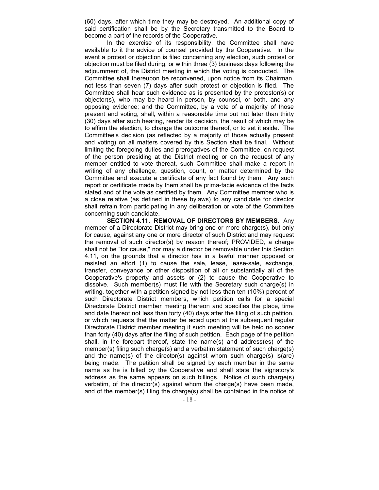(60) days, after which time they may be destroyed. An additional copy of said certification shall be by the Secretary transmitted to the Board to become a part of the records of the Cooperative.

In the exercise of its responsibility, the Committee shall have available to it the advice of counsel provided by the Cooperative. In the event a protest or objection is filed concerning any election, such protest or objection must be filed during, or within three (3) business days following the adjournment of, the District meeting in which the voting is conducted. The Committee shall thereupon be reconvened, upon notice from its Chairman, not less than seven (7) days after such protest or objection is filed. The Committee shall hear such evidence as is presented by the protestor(s) or objector(s), who may be heard in person, by counsel, or both, and any opposing evidence; and the Committee, by a vote of a majority of those present and voting, shall, within a reasonable time but not later than thirty (30) days after such hearing, render its decision, the result of which may be to affirm the election, to change the outcome thereof, or to set it aside. The Committee's decision (as reflected by a majority of those actually present and voting) on all matters covered by this Section shall be final. Without limiting the foregoing duties and prerogatives of the Committee, on request of the person presiding at the District meeting or on the request of any member entitled to vote thereat, such Committee shall make a report in writing of any challenge, question, count, or matter determined by the Committee and execute a certificate of any fact found by them. Any such report or certificate made by them shall be prima-facie evidence of the facts stated and of the vote as certified by them. Any Committee member who is a close relative (as defined in these bylaws) to any candidate for director shall refrain from participating in any deliberation or vote of the Committee concerning such candidate.

SECTION 4.11. REMOVAL OF DIRECTORS BY MEMBERS. Any member of a Directorate District may bring one or more charge(s), but only for cause, against any one or more director of such District and may request the removal of such director(s) by reason thereof; PROVIDED, a charge shall not be "for cause," nor may a director be removable under this Section 4.11, on the grounds that a director has in a lawful manner opposed or resisted an effort (1) to cause the sale, lease, lease-sale, exchange, transfer, conveyance or other disposition of all or substantially all of the Cooperative's property and assets or (2) to cause the Cooperative to dissolve. Such member(s) must file with the Secretary such charge(s) in writing, together with a petition signed by not less than ten (10%) percent of such Directorate District members, which petition calls for a special Directorate District member meeting thereon and specifies the place, time and date thereof not less than forty (40) days after the filing of such petition, or which requests that the matter be acted upon at the subsequent regular Directorate District member meeting if such meeting will be held no sooner than forty (40) days after the filing of such petition. Each page of the petition shall, in the forepart thereof, state the name(s) and address(es) of the member(s) filing such charge(s) and a verbatim statement of such charge(s) and the name(s) of the director(s) against whom such charge(s) is(are) being made. The petition shall be signed by each member in the same name as he is billed by the Cooperative and shall state the signatory's address as the same appears on such billings. Notice of such charge(s) verbatim, of the director(s) against whom the charge(s) have been made, and of the member(s) filing the charge(s) shall be contained in the notice of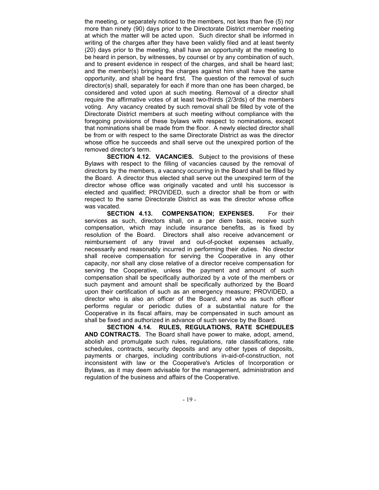the meeting, or separately noticed to the members, not less than five (5) nor more than ninety (90) days prior to the Directorate District member meeting at which the matter will be acted upon. Such director shall be informed in writing of the charges after they have been validly filed and at least twenty (20) days prior to the meeting, shall have an opportunity at the meeting to be heard in person, by witnesses, by counsel or by any combination of such, and to present evidence in respect of the charges, and shall be heard last; and the member(s) bringing the charges against him shall have the same opportunity, and shall be heard first. The question of the removal of such director(s) shall, separately for each if more than one has been charged, be considered and voted upon at such meeting. Removal of a director shall require the affirmative votes of at least two-thirds (2/3rds) of the members voting. Any vacancy created by such removal shall be filled by vote of the Directorate District members at such meeting without compliance with the foregoing provisions of these bylaws with respect to nominations, except that nominations shall be made from the floor. A newly elected director shall be from or with respect to the same Directorate District as was the director whose office he succeeds and shall serve out the unexpired portion of the removed director's term.

SECTION 4.12. VACANCIES. Subject to the provisions of these Bylaws with respect to the filling of vacancies caused by the removal of directors by the members, a vacancy occurring in the Board shall be filled by the Board. A director thus elected shall serve out the unexpired term of the director whose office was originally vacated and until his successor is elected and qualified; PROVIDED, such a director shall be from or with respect to the same Directorate District as was the director whose office was vacated.

SECTION 4.13. COMPENSATION; EXPENSES. For their services as such, directors shall, on a per diem basis, receive such compensation, which may include insurance benefits, as is fixed by resolution of the Board. Directors shall also receive advancement or reimbursement of any travel and out-of-pocket expenses actually, necessarily and reasonably incurred in performing their duties. No director shall receive compensation for serving the Cooperative in any other capacity, nor shall any close relative of a director receive compensation for serving the Cooperative, unless the payment and amount of such compensation shall be specifically authorized by a vote of the members or such payment and amount shall be specifically authorized by the Board upon their certification of such as an emergency measure; PROVIDED, a director who is also an officer of the Board, and who as such officer performs regular or periodic duties of a substantial nature for the Cooperative in its fiscal affairs, may be compensated in such amount as shall be fixed and authorized in advance of such service by the Board.

SECTION 4.14. RULES, REGULATIONS, RATE SCHEDULES AND CONTRACTS. The Board shall have power to make, adopt, amend, abolish and promulgate such rules, regulations, rate classifications, rate schedules, contracts, security deposits and any other types of deposits, payments or charges, including contributions in-aid-of-construction, not inconsistent with law or the Cooperative's Articles of Incorporation or Bylaws, as it may deem advisable for the management, administration and regulation of the business and affairs of the Cooperative.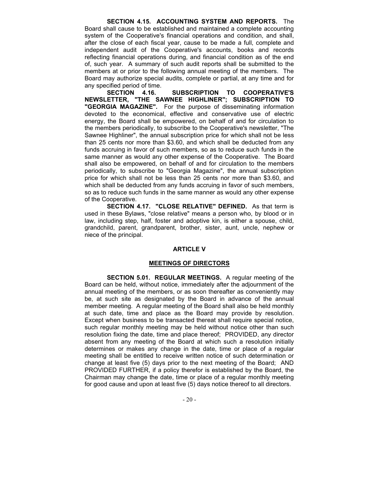SECTION 4.15. ACCOUNTING SYSTEM AND REPORTS. The Board shall cause to be established and maintained a complete accounting system of the Cooperative's financial operations and condition, and shall, after the close of each fiscal year, cause to be made a full, complete and independent audit of the Cooperative's accounts, books and records reflecting financial operations during, and financial condition as of the end of, such year. A summary of such audit reports shall be submitted to the members at or prior to the following annual meeting of the members. The Board may authorize special audits, complete or partial, at any time and for any specified period of time.

SECTION 4.16. SUBSCRIPTION TO COOPERATIVE'S NEWSLETTER, "THE SAWNEE HIGHLINER"; SUBSCRIPTION TO "GEORGIA MAGAZINE". For the purpose of disseminating information devoted to the economical, effective and conservative use of electric energy, the Board shall be empowered, on behalf of and for circulation to the members periodically, to subscribe to the Cooperative's newsletter, "The Sawnee Highliner", the annual subscription price for which shall not be less than 25 cents nor more than \$3.60, and which shall be deducted from any funds accruing in favor of such members, so as to reduce such funds in the same manner as would any other expense of the Cooperative. The Board shall also be empowered, on behalf of and for circulation to the members periodically, to subscribe to "Georgia Magazine", the annual subscription price for which shall not be less than 25 cents nor more than \$3.60, and which shall be deducted from any funds accruing in favor of such members, so as to reduce such funds in the same manner as would any other expense of the Cooperative.

SECTION 4.17. "CLOSE RELATIVE" DEFINED. As that term is used in these Bylaws, "close relative" means a person who, by blood or in law, including step, half, foster and adoptive kin, is either a spouse, child, grandchild, parent, grandparent, brother, sister, aunt, uncle, nephew or niece of the principal.

## ARTICLE V

## MEETINGS OF DIRECTORS

SECTION 5.01. REGULAR MEETINGS. A regular meeting of the Board can be held, without notice, immediately after the adjournment of the annual meeting of the members, or as soon thereafter as conveniently may be, at such site as designated by the Board in advance of the annual member meeting. A regular meeting of the Board shall also be held monthly at such date, time and place as the Board may provide by resolution. Except when business to be transacted thereat shall require special notice, such regular monthly meeting may be held without notice other than such resolution fixing the date, time and place thereof; PROVIDED, any director absent from any meeting of the Board at which such a resolution initially determines or makes any change in the date, time or place of a regular meeting shall be entitled to receive written notice of such determination or change at least five (5) days prior to the next meeting of the Board; AND PROVIDED FURTHER, if a policy therefor is established by the Board, the Chairman may change the date, time or place of a regular monthly meeting for good cause and upon at least five (5) days notice thereof to all directors.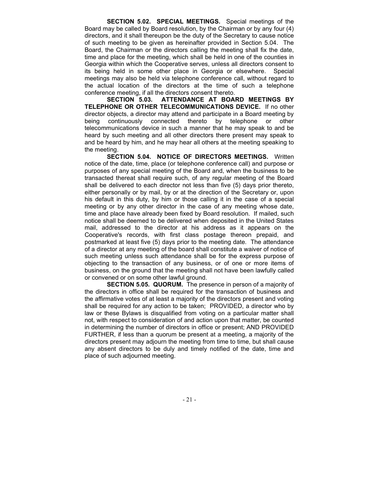SECTION 5.02. SPECIAL MEETINGS. Special meetings of the Board may be called by Board resolution, by the Chairman or by any four (4) directors, and it shall thereupon be the duty of the Secretary to cause notice of such meeting to be given as hereinafter provided in Section 5.04. The Board, the Chairman or the directors calling the meeting shall fix the date, time and place for the meeting, which shall be held in one of the counties in Georgia within which the Cooperative serves, unless all directors consent to its being held in some other place in Georgia or elsewhere. Special meetings may also be held via telephone conference call, without regard to the actual location of the directors at the time of such a telephone conference meeting, if all the directors consent thereto.

SECTION 5.03. ATTENDANCE AT BOARD MEETINGS BY TELEPHONE OR OTHER TELECOMMUNICATIONS DEVICE. If no other director objects, a director may attend and participate in a Board meeting by being continuously connected thereto by telephone or other telecommunications device in such a manner that he may speak to and be heard by such meeting and all other directors there present may speak to and be heard by him, and he may hear all others at the meeting speaking to the meeting.

SECTION 5.04. NOTICE OF DIRECTORS MEETINGS. Written notice of the date, time, place (or telephone conference call) and purpose or purposes of any special meeting of the Board and, when the business to be transacted thereat shall require such, of any regular meeting of the Board shall be delivered to each director not less than five (5) days prior thereto, either personally or by mail, by or at the direction of the Secretary or, upon his default in this duty, by him or those calling it in the case of a special meeting or by any other director in the case of any meeting whose date, time and place have already been fixed by Board resolution. If mailed, such notice shall be deemed to be delivered when deposited in the United States mail, addressed to the director at his address as it appears on the Cooperative's records, with first class postage thereon prepaid, and postmarked at least five (5) days prior to the meeting date. The attendance of a director at any meeting of the board shall constitute a waiver of notice of such meeting unless such attendance shall be for the express purpose of objecting to the transaction of any business, or of one or more items of business, on the ground that the meeting shall not have been lawfully called or convened or on some other lawful ground.

SECTION 5.05. QUORUM. The presence in person of a majority of the directors in office shall be required for the transaction of business and the affirmative votes of at least a majority of the directors present and voting shall be required for any action to be taken; PROVIDED, a director who by law or these Bylaws is disqualified from voting on a particular matter shall not, with respect to consideration of and action upon that matter, be counted in determining the number of directors in office or present; AND PROVIDED FURTHER, if less than a quorum be present at a meeting, a majority of the directors present may adjourn the meeting from time to time, but shall cause any absent directors to be duly and timely notified of the date, time and place of such adjourned meeting.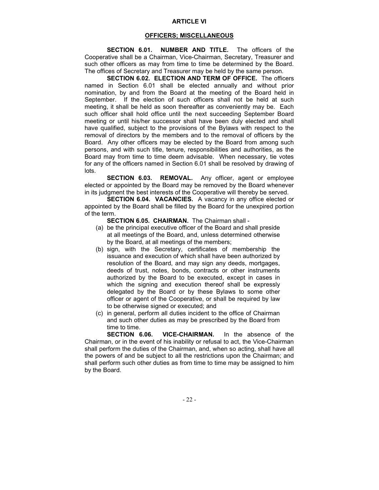## ARTICLE VI

## OFFICERS; MISCELLANEOUS

SECTION 6.01. NUMBER AND TITLE. The officers of the Cooperative shall be a Chairman, Vice-Chairman, Secretary, Treasurer and such other officers as may from time to time be determined by the Board. The offices of Secretary and Treasurer may be held by the same person.

SECTION 6.02. ELECTION AND TERM OF OFFICE. The officers named in Section 6.01 shall be elected annually and without prior nomination, by and from the Board at the meeting of the Board held in September. If the election of such officers shall not be held at such meeting, it shall be held as soon thereafter as conveniently may be. Each such officer shall hold office until the next succeeding September Board meeting or until his/her successor shall have been duly elected and shall have qualified, subject to the provisions of the Bylaws with respect to the removal of directors by the members and to the removal of officers by the Board. Any other officers may be elected by the Board from among such persons, and with such title, tenure, responsibilities and authorities, as the Board may from time to time deem advisable. When necessary, tie votes for any of the officers named in Section 6.01 shall be resolved by drawing of lots.

SECTION 6.03. REMOVAL. Any officer, agent or employee elected or appointed by the Board may be removed by the Board whenever in its judgment the best interests of the Cooperative will thereby be served.

SECTION 6.04. VACANCIES. A vacancy in any office elected or appointed by the Board shall be filled by the Board for the unexpired portion of the term.

SECTION 6.05. CHAIRMAN. The Chairman shall -

- (a) be the principal executive officer of the Board and shall preside at all meetings of the Board, and, unless determined otherwise by the Board, at all meetings of the members;
- (b) sign, with the Secretary, certificates of membership the issuance and execution of which shall have been authorized by resolution of the Board, and may sign any deeds, mortgages, deeds of trust, notes, bonds, contracts or other instruments authorized by the Board to be executed, except in cases in which the signing and execution thereof shall be expressly delegated by the Board or by these Bylaws to some other officer or agent of the Cooperative, or shall be required by law to be otherwise signed or executed; and
- (c) in general, perform all duties incident to the office of Chairman and such other duties as may be prescribed by the Board from time to time.

SECTION 6.06. VICE-CHAIRMAN. In the absence of the Chairman, or in the event of his inability or refusal to act, the Vice-Chairman shall perform the duties of the Chairman, and, when so acting, shall have all the powers of and be subject to all the restrictions upon the Chairman; and shall perform such other duties as from time to time may be assigned to him by the Board.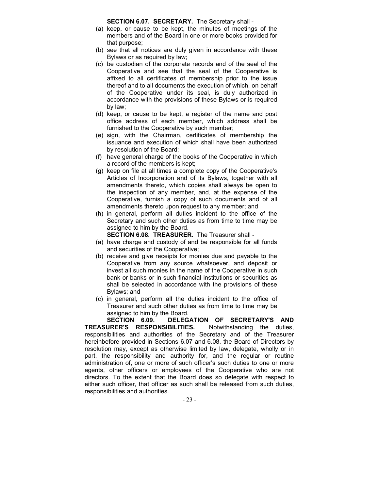SECTION 6.07. SECRETARY. The Secretary shall -

- (a) keep, or cause to be kept, the minutes of meetings of the members and of the Board in one or more books provided for that purpose;
- (b) see that all notices are duly given in accordance with these Bylaws or as required by law;
- (c) be custodian of the corporate records and of the seal of the Cooperative and see that the seal of the Cooperative is affixed to all certificates of membership prior to the issue thereof and to all documents the execution of which, on behalf of the Cooperative under its seal, is duly authorized in accordance with the provisions of these Bylaws or is required by law;
- (d) keep, or cause to be kept, a register of the name and post office address of each member, which address shall be furnished to the Cooperative by such member;
- (e) sign, with the Chairman, certificates of membership the issuance and execution of which shall have been authorized by resolution of the Board;
- (f) have general charge of the books of the Cooperative in which a record of the members is kept;
- (g) keep on file at all times a complete copy of the Cooperative's Articles of Incorporation and of its Bylaws, together with all amendments thereto, which copies shall always be open to the inspection of any member, and, at the expense of the Cooperative, furnish a copy of such documents and of all amendments thereto upon request to any member; and
- (h) in general, perform all duties incident to the office of the Secretary and such other duties as from time to time may be assigned to him by the Board.

SECTION 6.08. TREASURER. The Treasurer shall -

- (a) have charge and custody of and be responsible for all funds and securities of the Cooperative;
- (b) receive and give receipts for monies due and payable to the Cooperative from any source whatsoever, and deposit or invest all such monies in the name of the Cooperative in such bank or banks or in such financial institutions or securities as shall be selected in accordance with the provisions of these Bylaws; and
- (c) in general, perform all the duties incident to the office of Treasurer and such other duties as from time to time may be assigned to him by the Board.

SECTION 6.09. DELEGATION OF SECRETARY'S AND TREASURER'S RESPONSIBILITIES. Notwithstanding the duties, responsibilities and authorities of the Secretary and of the Treasurer hereinbefore provided in Sections 6.07 and 6.08, the Board of Directors by resolution may, except as otherwise limited by law, delegate, wholly or in part, the responsibility and authority for, and the regular or routine administration of, one or more of such officer's such duties to one or more agents, other officers or employees of the Cooperative who are not directors. To the extent that the Board does so delegate with respect to either such officer, that officer as such shall be released from such duties, responsibilities and authorities.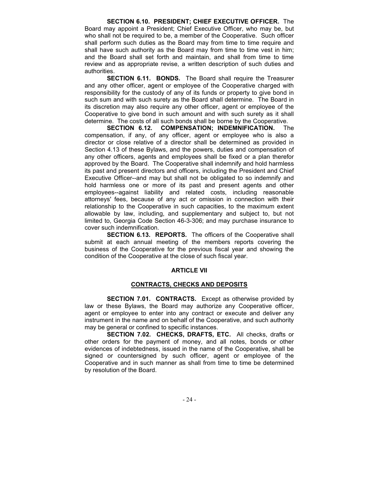SECTION 6.10. PRESIDENT; CHIEF EXECUTIVE OFFICER. The Board may appoint a President; Chief Executive Officer, who may be, but who shall not be required to be, a member of the Cooperative. Such officer shall perform such duties as the Board may from time to time require and shall have such authority as the Board may from time to time vest in him; and the Board shall set forth and maintain, and shall from time to time review and as appropriate revise, a written description of such duties and authorities.

SECTION 6.11. BONDS. The Board shall require the Treasurer and any other officer, agent or employee of the Cooperative charged with responsibility for the custody of any of its funds or property to give bond in such sum and with such surety as the Board shall determine. The Board in its discretion may also require any other officer, agent or employee of the Cooperative to give bond in such amount and with such surety as it shall determine. The costs of all such bonds shall be borne by the Cooperative.

SECTION 6.12. COMPENSATION; INDEMNIFICATION. The compensation, if any, of any officer, agent or employee who is also a director or close relative of a director shall be determined as provided in Section 4.13 of these Bylaws, and the powers, duties and compensation of any other officers, agents and employees shall be fixed or a plan therefor approved by the Board. The Cooperative shall indemnify and hold harmless its past and present directors and officers, including the President and Chief Executive Officer--and may but shall not be obligated to so indemnify and hold harmless one or more of its past and present agents and other employees--against liability and related costs, including reasonable attorneys' fees, because of any act or omission in connection with their relationship to the Cooperative in such capacities, to the maximum extent allowable by law, including, and supplementary and subject to, but not limited to, Georgia Code Section 46-3-306; and may purchase insurance to cover such indemnification.

SECTION 6.13. REPORTS. The officers of the Cooperative shall submit at each annual meeting of the members reports covering the business of the Cooperative for the previous fiscal year and showing the condition of the Cooperative at the close of such fiscal year.

## ARTICLE VII

## CONTRACTS, CHECKS AND DEPOSITS

SECTION 7.01. CONTRACTS. Except as otherwise provided by law or these Bylaws, the Board may authorize any Cooperative officer, agent or employee to enter into any contract or execute and deliver any instrument in the name and on behalf of the Cooperative, and such authority may be general or confined to specific instances.

SECTION 7.02. CHECKS, DRAFTS, ETC. All checks, drafts or other orders for the payment of money, and all notes, bonds or other evidences of indebtedness, issued in the name of the Cooperative, shall be signed or countersigned by such officer, agent or employee of the Cooperative and in such manner as shall from time to time be determined by resolution of the Board.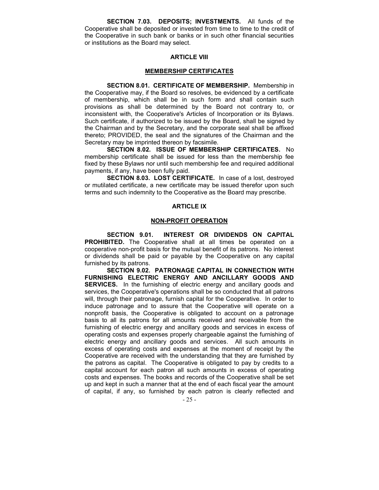SECTION 7.03. DEPOSITS; INVESTMENTS. All funds of the Cooperative shall be deposited or invested from time to time to the credit of the Cooperative in such bank or banks or in such other financial securities or institutions as the Board may select.

## ARTICLE VIII

## MEMBERSHIP CERTIFICATES

SECTION 8.01. CERTIFICATE OF MEMBERSHIP. Membership in the Cooperative may, if the Board so resolves, be evidenced by a certificate of membership, which shall be in such form and shall contain such provisions as shall be determined by the Board not contrary to, or inconsistent with, the Cooperative's Articles of Incorporation or its Bylaws. Such certificate, if authorized to be issued by the Board, shall be signed by the Chairman and by the Secretary, and the corporate seal shall be affixed thereto; PROVIDED, the seal and the signatures of the Chairman and the Secretary may be imprinted thereon by facsimile.

SECTION 8.02. ISSUE OF MEMBERSHIP CERTIFICATES. No membership certificate shall be issued for less than the membership fee fixed by these Bylaws nor until such membership fee and required additional payments, if any, have been fully paid.

SECTION 8.03. LOST CERTIFICATE. In case of a lost, destroyed or mutilated certificate, a new certificate may be issued therefor upon such terms and such indemnity to the Cooperative as the Board may prescribe.

## ARTICLE IX

## NON-PROFIT OPERATION

SECTION 9.01. INTEREST OR DIVIDENDS ON CAPITAL PROHIBITED. The Cooperative shall at all times be operated on a cooperative non-profit basis for the mutual benefit of its patrons. No interest or dividends shall be paid or payable by the Cooperative on any capital furnished by its patrons.

SECTION 9.02. PATRONAGE CAPITAL IN CONNECTION WITH FURNISHING ELECTRIC ENERGY AND ANCILLARY GOODS AND SERVICES. In the furnishing of electric energy and ancillary goods and services, the Cooperative's operations shall be so conducted that all patrons will, through their patronage, furnish capital for the Cooperative. In order to induce patronage and to assure that the Cooperative will operate on a nonprofit basis, the Cooperative is obligated to account on a patronage basis to all its patrons for all amounts received and receivable from the furnishing of electric energy and ancillary goods and services in excess of operating costs and expenses properly chargeable against the furnishing of electric energy and ancillary goods and services. All such amounts in excess of operating costs and expenses at the moment of receipt by the Cooperative are received with the understanding that they are furnished by the patrons as capital. The Cooperative is obligated to pay by credits to a capital account for each patron all such amounts in excess of operating costs and expenses. The books and records of the Cooperative shall be set up and kept in such a manner that at the end of each fiscal year the amount of capital, if any, so furnished by each patron is clearly reflected and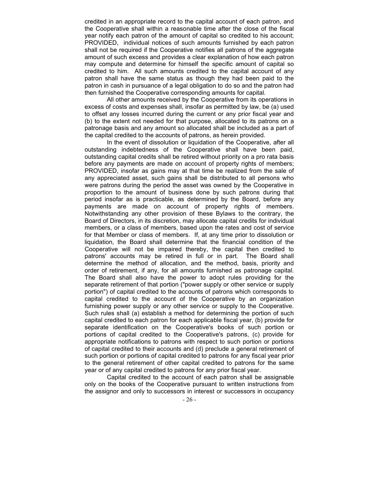credited in an appropriate record to the capital account of each patron, and the Cooperative shall within a reasonable time after the close of the fiscal year notify each patron of the amount of capital so credited to his account; PROVIDED, individual notices of such amounts furnished by each patron shall not be required if the Cooperative notifies all patrons of the aggregate amount of such excess and provides a clear explanation of how each patron may compute and determine for himself the specific amount of capital so credited to him. All such amounts credited to the capital account of any patron shall have the same status as though they had been paid to the patron in cash in pursuance of a legal obligation to do so and the patron had then furnished the Cooperative corresponding amounts for capital.

All other amounts received by the Cooperative from its operations in excess of costs and expenses shall, insofar as permitted by law, be (a) used to offset any losses incurred during the current or any prior fiscal year and (b) to the extent not needed for that purpose, allocated to its patrons on a patronage basis and any amount so allocated shall be included as a part of the capital credited to the accounts of patrons, as herein provided.

In the event of dissolution or liquidation of the Cooperative, after all outstanding indebtedness of the Cooperative shall have been paid, outstanding capital credits shall be retired without priority on a pro rata basis before any payments are made on account of property rights of members; PROVIDED, insofar as gains may at that time be realized from the sale of any appreciated asset, such gains shall be distributed to all persons who were patrons during the period the asset was owned by the Cooperative in proportion to the amount of business done by such patrons during that period insofar as is practicable, as determined by the Board, before any payments are made on account of property rights of members. Notwithstanding any other provision of these Bylaws to the contrary, the Board of Directors, in its discretion, may allocate capital credits for individual members, or a class of members, based upon the rates and cost of service for that Member or class of members. If, at any time prior to dissolution or liquidation, the Board shall determine that the financial condition of the Cooperative will not be impaired thereby, the capital then credited to patrons' accounts may be retired in full or in part. The Board shall determine the method of allocation, and the method, basis, priority and order of retirement, if any, for all amounts furnished as patronage capital. The Board shall also have the power to adopt rules providing for the separate retirement of that portion ("power supply or other service or supply portion") of capital credited to the accounts of patrons which corresponds to capital credited to the account of the Cooperative by an organization furnishing power supply or any other service or supply to the Cooperative. Such rules shall (a) establish a method for determining the portion of such capital credited to each patron for each applicable fiscal year, (b) provide for separate identification on the Cooperative's books of such portion or portions of capital credited to the Cooperative's patrons, (c) provide for appropriate notifications to patrons with respect to such portion or portions of capital credited to their accounts and (d) preclude a general retirement of such portion or portions of capital credited to patrons for any fiscal year prior to the general retirement of other capital credited to patrons for the same year or of any capital credited to patrons for any prior fiscal year.

Capital credited to the account of each patron shall be assignable only on the books of the Cooperative pursuant to written instructions from the assignor and only to successors in interest or successors in occupancy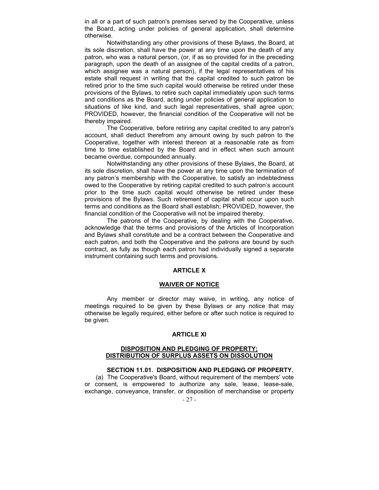in all or a part of such patron's premises served by the Cooperative, unless the Board, acting under policies of general application, shall determine otherwise.

Notwithstanding any other provisions of these Bylaws, the Board, at its sole discretion, shall have the power at any time upon the death of any patron, who was a natural person, (or, if as so provided for in the preceding paragraph, upon the death of an assignee of the capital credits of a patron, which assignee was a natural person), if the legal representatives of his estate shall request in writing that the capital credited to such patron be retired prior to the time such capital would otherwise be retired under these provisions of the Bylaws, to retire such capital immediately upon such terms and conditions as the Board, acting under policies of general application to situations of like kind, and such legal representatives, shall agree upon; PROVIDED, however, the financial condition of the Cooperative will not be thereby impaired.

The Cooperative, before retiring any capital credited to any patron's account, shall deduct therefrom any amount owing by such patron to the Cooperative, together with interest thereon at a reasonable rate as from time to time established by the Board and in effect when such amount became overdue, compounded annually.

Notwithstanding any other provisions of these Bylaws, the Board, at its sole discretion, shall have the power at any time upon the termination of any patron's membership with the Cooperative, to satisfy an indebtedness owed to the Cooperative by retiring capital credited to such patron's account prior to the time such capital would otherwise be retired under these provisions of the Bylaws. Such retirement of capital shall occur upon such terms and conditions as the Board shall establish; PROVIDED, however, the financial condition of the Cooperative will not be impaired thereby.

The patrons of the Cooperative, by dealing with the Cooperative, acknowledge that the terms and provisions of the Articles of Incorporation and Bylaws shall constitute and be a contract between the Cooperative and each patron, and both the Cooperative and the patrons are bound by such contract, as fully as though each patron had individually signed a separate instrument containing such terms and provisions.

## ARTICLE X

#### WAIVER OF NOTICE

Any member or director may waive, in writing, any notice of meetings required to be given by these Bylaws or any notice that may otherwise be legally required, either before or after such notice is required to be given.

## ARTICLE XI

## DISPOSITION AND PLEDGING OF PROPERTY; DISTRIBUTION OF SURPLUS ASSETS ON DISSOLUTION

## SECTION 11.01. DISPOSITION AND PLEDGING OF PROPERTY.

(a) The Cooperative's Board, without requirement of the members' vote or consent, is empowered to authorize any sale, lease, lease-sale, exchange, conveyance, transfer, or disposition of merchandise or property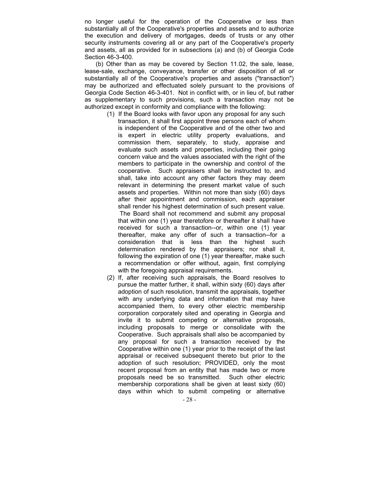no longer useful for the operation of the Cooperative or less than substantially all of the Cooperative's properties and assets and to authorize the execution and delivery of mortgages, deeds of trusts or any other security instruments covering all or any part of the Cooperative's property and assets, all as provided for in subsections (a) and (b) of Georgia Code Section 46-3-400.

(b) Other than as may be covered by Section 11.02, the sale, lease, lease-sale, exchange, conveyance, transfer or other disposition of all or substantially all of the Cooperative's properties and assets ("transaction") may be authorized and effectuated solely pursuant to the provisions of Georgia Code Section 46-3-401. Not in conflict with, or in lieu of, but rather as supplementary to such provisions, such a transaction may not be authorized except in conformity and compliance with the following:

- (1) If the Board looks with favor upon any proposal for any such transaction, it shall first appoint three persons each of whom is independent of the Cooperative and of the other two and is expert in electric utility property evaluations, and commission them, separately, to study, appraise and evaluate such assets and properties, including their going concern value and the values associated with the right of the members to participate in the ownership and control of the cooperative. Such appraisers shall be instructed to, and shall, take into account any other factors they may deem relevant in determining the present market value of such assets and properties. Within not more than sixty (60) days after their appointment and commission, each appraiser shall render his highest determination of such present value. The Board shall not recommend and submit any proposal that within one (1) year theretofore or thereafter it shall have received for such a transaction--or, within one (1) year thereafter, make any offer of such a transaction--for a consideration that is less than the highest such determination rendered by the appraisers; nor shall it, following the expiration of one (1) year thereafter, make such a recommendation or offer without, again, first complying with the foregoing appraisal requirements.
- (2) If, after receiving such appraisals, the Board resolves to pursue the matter further, it shall, within sixty (60) days after adoption of such resolution, transmit the appraisals, together with any underlying data and information that may have accompanied them, to every other electric membership corporation corporately sited and operating in Georgia and invite it to submit competing or alternative proposals, including proposals to merge or consolidate with the Cooperative. Such appraisals shall also be accompanied by any proposal for such a transaction received by the Cooperative within one (1) year prior to the receipt of the last appraisal or received subsequent thereto but prior to the adoption of such resolution; PROVIDED, only the most recent proposal from an entity that has made two or more proposals need be so transmitted. Such other electric membership corporations shall be given at least sixty (60) days within which to submit competing or alternative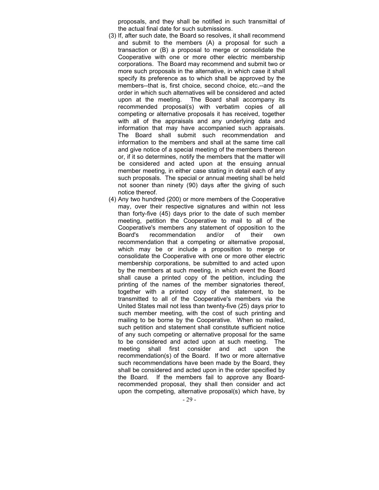proposals, and they shall be notified in such transmittal of the actual final date for such submissions.

- (3) If, after such date, the Board so resolves, it shall recommend and submit to the members (A) a proposal for such a transaction or (B) a proposal to merge or consolidate the Cooperative with one or more other electric membership corporations. The Board may recommend and submit two or more such proposals in the alternative, in which case it shall specify its preference as to which shall be approved by the members--that is, first choice, second choice, etc.--and the order in which such alternatives will be considered and acted upon at the meeting. The Board shall accompany its recommended proposal(s) with verbatim copies of all competing or alternative proposals it has received, together with all of the appraisals and any underlying data and information that may have accompanied such appraisals. The Board shall submit such recommendation and information to the members and shall at the same time call and give notice of a special meeting of the members thereon or, if it so determines, notify the members that the matter will be considered and acted upon at the ensuing annual member meeting, in either case stating in detail each of any such proposals. The special or annual meeting shall be held not sooner than ninety (90) days after the giving of such notice thereof.
- (4) Any two hundred (200) or more members of the Cooperative may, over their respective signatures and within not less than forty-five (45) days prior to the date of such member meeting, petition the Cooperative to mail to all of the Cooperative's members any statement of opposition to the Board's recommendation and/or of their own recommendation that a competing or alternative proposal, which may be or include a proposition to merge or consolidate the Cooperative with one or more other electric membership corporations, be submitted to and acted upon by the members at such meeting, in which event the Board shall cause a printed copy of the petition, including the printing of the names of the member signatories thereof, together with a printed copy of the statement, to be transmitted to all of the Cooperative's members via the United States mail not less than twenty-five (25) days prior to such member meeting, with the cost of such printing and mailing to be borne by the Cooperative. When so mailed, such petition and statement shall constitute sufficient notice of any such competing or alternative proposal for the same to be considered and acted upon at such meeting. The meeting shall first consider and act upon the recommendation(s) of the Board. If two or more alternative such recommendations have been made by the Board, they shall be considered and acted upon in the order specified by the Board. If the members fail to approve any Boardrecommended proposal, they shall then consider and act upon the competing, alternative proposal(s) which have, by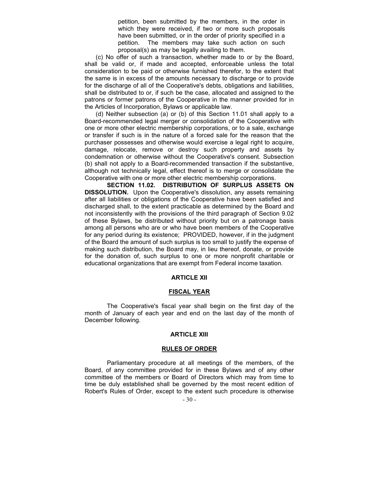petition, been submitted by the members, in the order in which they were received, if two or more such proposals have been submitted, or in the order of priority specified in a petition. The members may take such action on such proposal(s) as may be legally availing to them.

(c) No offer of such a transaction, whether made to or by the Board, shall be valid or, if made and accepted, enforceable unless the total consideration to be paid or otherwise furnished therefor, to the extent that the same is in excess of the amounts necessary to discharge or to provide for the discharge of all of the Cooperative's debts, obligations and liabilities, shall be distributed to or, if such be the case, allocated and assigned to the patrons or former patrons of the Cooperative in the manner provided for in the Articles of Incorporation, Bylaws or applicable law.

(d) Neither subsection (a) or (b) of this Section 11.01 shall apply to a Board-recommended legal merger or consolidation of the Cooperative with one or more other electric membership corporations, or to a sale, exchange or transfer if such is in the nature of a forced sale for the reason that the purchaser possesses and otherwise would exercise a legal right to acquire, damage, relocate, remove or destroy such property and assets by condemnation or otherwise without the Cooperative's consent. Subsection (b) shall not apply to a Board-recommended transaction if the substantive, although not technically legal, effect thereof is to merge or consolidate the Cooperative with one or more other electric membership corporations.

SECTION 11.02. DISTRIBUTION OF SURPLUS ASSETS ON DISSOLUTION. Upon the Cooperative's dissolution, any assets remaining after all liabilities or obligations of the Cooperative have been satisfied and discharged shall, to the extent practicable as determined by the Board and not inconsistently with the provisions of the third paragraph of Section 9.02 of these Bylaws, be distributed without priority but on a patronage basis among all persons who are or who have been members of the Cooperative for any period during its existence; PROVIDED, however, if in the judgment of the Board the amount of such surplus is too small to justify the expense of making such distribution, the Board may, in lieu thereof, donate, or provide for the donation of, such surplus to one or more nonprofit charitable or educational organizations that are exempt from Federal income taxation.

## ARTICLE XII

#### FISCAL YEAR

The Cooperative's fiscal year shall begin on the first day of the month of January of each year and end on the last day of the month of December following.

## ARTICLE XIII

## RULES OF ORDER

Parliamentary procedure at all meetings of the members, of the Board, of any committee provided for in these Bylaws and of any other committee of the members or Board of Directors which may from time to time be duly established shall be governed by the most recent edition of Robert's Rules of Order, except to the extent such procedure is otherwise